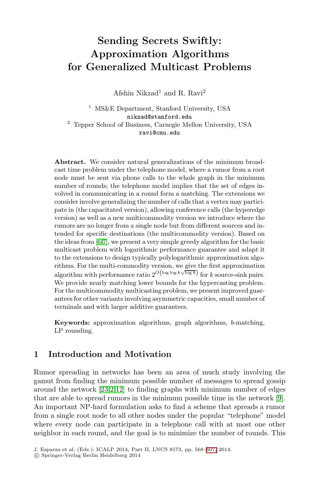# **Sending Secrets Swiftly: Approximation Algorithms for Generalized Multicast Problems**

Afshin Nikzad<sup>1</sup> and R. Ravi<sup>2</sup>

<sup>1</sup> MS&E Department, Stanford University, USA nikzad@stanford.edu <sup>2</sup> Tepper School of Business, Carnegie Mellon University, USA ravi@cmu.edu

<span id="page-0-0"></span>**Abstract.** We consider natural generalizations of the minimum broadcast time problem under the telephone model, where a rumor from a root node must be sent via phone calls to the whole graph in the minimum number of rounds; the telephone model implies that the set of edges involved in communicating in a round form a matching. The extensions we consider involve generalizing the number of calls that a vertex may participate in (the capacitated version), allowing conference calls (the hyperedge version) as well as a new multicommodity version we introduce where the rumors are no longer from a single node but from different sources and intended for specific destinations (the multicommodity version). Based on the ideas from [6,7], we present a very simple greedy algorithm for the basic multicast problem with logarithmic performance guarantee and adapt it to the extensions to design typically polylogarithmic approximation algorithms. For the multi-commodity version, we give the first approximation algorithm with performance ratio  $2^{O(\log \log k \sqrt{\log k})}$  for k source-sink pairs. We provide nearly matching lower bounds for the hypercasting problem. For the multicommodity multicasting problem, we present improved guarantees for other variants involving asymmetric capacities, small number of terminals and with larger additive guarantees.

**[K](#page-13-0)[ey](#page-14-0)words:** approximation algorithms, graph algorithms, b-matching, LP rounding.

# **1 Introduction and Motivation**

Rumor spreading in networks has been an area of much study involving the gamut from finding the minimum p[ossib](#page-39-0)le number of messages to spread gossip around the network [23,2,12] to finding graphs with minimum number of edges that are able to spread rumors in the minimum possible time in the network [9]. An important NP-hard formulation asks to find a scheme that spreads a rumor from a single root node to all other nodes under the popular "telephone" model where every node can participate in a telephone call with at most one other neighbor in each round, and the goal is to minimize the number of rounds. This

J. Esparza et al. (Eds.): ICALP 2014, Part II, LNCS 8573, pp. 568–607, 2014.

<sup>-</sup>c Springer-Verlag Berlin Heidelberg 2014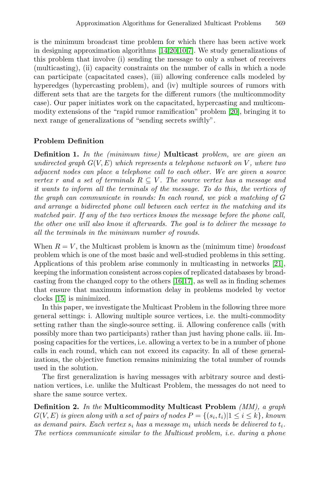is the minimum broadcast time problem fo[r w](#page-14-1)hich there has been active work in designing approximation algorithms [14,20,10,7]. We study generalizations of this problem that involve (i) sending the message to only a subset of receivers (multicasting), (ii) capacity constraints on the number of calls in which a node can participate (capacitated cases), (iii) allowing conference calls modeled by hyperedges (hypercasting problem), and (iv) multiple sources of rumors with different sets that are the targets for the different rumors (the multicommodity case). Our paper initiates work on the capacitated, hypercasting and multicommodity extensions of the "rapid rumor ramification" problem [20], bringing it to next range of generalizations of "sending secrets swiftly".

### **Problem Definition**

**Definition 1.** *In the (minimum time)* **Multicast** *problem, we are given an undirected graph* G(V,E) *which represents a telephone network on* V *, where two adjacent nodes can place a telephone call to each other. We are given a source vertex* r and a set of terminals  $R \subseteq V$ . The source vertex has a message and *it wants to inform all the terminals of the message. To do this, the vertices of the graph can communicate in rounds: In each round, we [pic](#page-14-2)k a matching of* G *and arrange a bidirected phone call between each vertex in the matching and its matched pair. If any of th[e tw](#page-14-3)[o v](#page-14-4)ertices knows the message before the phone call, the other one will also know it afterwards. The goal is to deliver the message to all the terminals in the minimum number of rounds.*

When  $R = V$ , the Multicast problem is known as the (minimum time) *broadcast* problem which is one of the most basic and well-studied problems in this setting. Applications of this problem arise commonly in multicasting in networks [21], keeping the information consistent across copies of replicated databases by broadcasting from the changed copy to the others [16,17], as well as in finding schemes that ensure that maximum information delay in problems modeled by vector clocks [15] is minimized.

In this paper, we investigate the Multicast Problem in the following three more general settings: i. Allowing multiple source vertices, i.e. the multi-commodity setting rather than the single-source setting. ii. Allowing conference calls (with possibly more than two participants) rather than just having phone calls. iii. Imposing capacities for the vertices, i.e. allowing a vertex to be in a number of phone calls in each round, which can not exceed its capacity. In all of these generalizations, the objective function remains minimizing the total number of rounds used in the solution.

The first generalization is having messages with arbitrary source and destination vertices, i.e. unlike the Multicast Problem, the messages do not need to share the same source vertex.

**Definition 2.** *In the* **Multicommodity Multicast Problem** *(MM), a graph*  $G(V, E)$  *is given along with a set of pairs of nodes*  $P = \{(s_i, t_i) | 1 \le i \le k\}$ , known as demand pairs. Each vertex  $s_i$  has a message  $m_i$  which needs be delivered to  $t_i$ . *The vertices communicate similar to the Multicast problem, i.e. during a phone*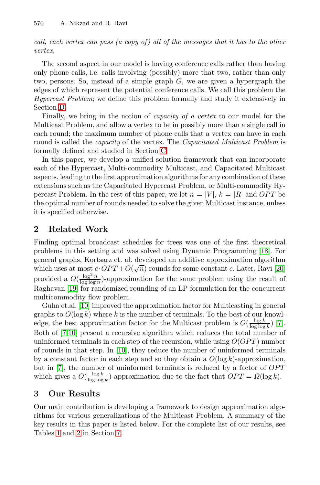*call, each vertex can pass (a copy of ) all of the messages that it has to the other vertex.*

The second aspect in our model is having conference calls rather than having only phone calls, i.e. calls involving (possibly) more that two, rather than only two, persons. So, inst[ead](#page-17-0) of a simple graph  $G$ , we are given a hypergraph the edges of which represent the potential conference calls. We call this problem the *Hypercast Problem*; we define this problem formally and study it extensively in Section D.

Finally, we bring in the notion of *capacity of a vertex* to our model for the Multicast Problem, and allow a vertex to be in possibly more than a single call in each round; the maximum number of phone calls that a vertex can have in each round is called the *capacity* of the vertex. The *Capacitated Multicast Problem* is formally defined and studied in Section C.

In this paper, we develop a unified solution framework that can incorporate each of the Hypercast, Multi-commodity Multicast, and Capacitated Multicast aspects, leading to the first approximation algorithms for any combination of these extensions such as the Capacitated Hypercast Proble[m, o](#page-14-5)r Multi-commodity Hypercast Problem. In the rest of this paper, we let  $n = |V|$ ,  $k = |R|$  and *OPT* be the optimal number of rounds needed to solve the given Mul[tica](#page-14-1)st instance, unless it is specified otherwise.

# **2 Related Work**

Finding optimal broadcast schedules for trees was one of the first theoretical problems in this setting and was solved using Dynamic Programming [18]. For general graphs, Kortsarz et. al. developed an additive app[rox](#page-13-1)imation algorithm which uses at most  $c \cdot OPT + O(\sqrt{n})$  rounds for some constant c. Later, Ravi [20] provided a  $O(\frac{\log^2 n}{\log \log n})$ -approximation for the same problem using the result of Raghav[an](#page-14-6) [\[1](#page-14-6)9] for randomized rounding of an LP formulation for the concurrent multicommodity flow problem.

Guha et.al. [10] improved the approximation factor for Multicasting in general graphs to  $O(\log k)$  where k is the number of terminals. To the best of our knowledge, the best approximation factor for the Multicast problem is  $O(\frac{\log k}{\log \log k})$  [7]. Both of [7,10] present a recursive algorithm which reduces the total number of uninformed terminals in each step of the recursion, while using  $O(OPT)$  number of rounds in that step. In [10], they reduce the number of uninformed terminals by a constant factor in each step and so they obtain a  $O(\log k)$ -approximation, but in  $[7]$ , the number of uninformed terminals is reduced by a factor of  $OPT$ which gives a  $O(\frac{\log k}{\log \log k})$ -approximation due to the fact that  $OPT = \Omega(\log k)$ .

# **3 Our Results**

Our main contribution is developing a framework to design approximation algorithms for various generalizations of the Multicast Problem. A summary of the key results in this paper is listed below. For the complete list of our results, see Tables 1 and 2 in Section 7.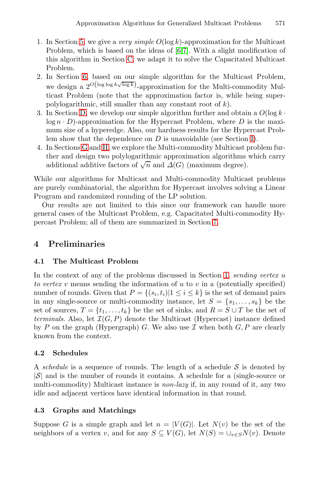- 1. In Section 5, we give a *very simple* O(log k)-approximation for the Multicast Problem, which is based on the ideas of [6,7]. With a slight modification of this algorithm in Section C, we adapt it to solve the Capacitated Multicast Problem.
- 2. [In](#page-34-0) Section 6, based on our simple algorithm [f](#page-37-0)or the Multicast Problem, we design a  $2^{O(\log \log k \sqrt{\log k})}$ -approximation for the Multi-commodity Multicast Problem (note that the approximation factor is, while being superpolylogarithmic, still smaller than any constant root of  $k$ ).
- 3. In Section D, we develop our simple algorithm further and obtain a  $O(\log k \cdot$  $\log n \cdot D$ )-approximation for the Hypercast Problem, where D is the maximum size of a hyperedge. Also, our hardness results for the Hypercast Problem show that the dependence on  $D$  is unavoidable (see Section I).
- 4. In Sections G and H, we explore the Multi-commodity Multicast problem further and design two polylogarith[mic](#page-12-0) approximation algorithms which carry additional additive factors of  $\sqrt{n}$  and  $\Delta(G)$  (maximum degree).

While our algorithms for Multicast and Multi-commodity Multicast problems are purely combinatorial, the algorithm for Hypercast involves solving a Linear Program and randomized rounding of the LP solution.

Our results are not limited to this si[nc](#page-0-0)e our framework can handle more general cases of the Multicast Problem, e.g. Capacitated Multi-commodity Hypercast Problem; all of them are summarized in Section 7.

### **4 Preliminaries**

#### **4.1 The Multicast Problem**

In the context of any of the problems discussed in Section 1, *sending vertex* u *to vertex* v means sending the information of u to v in a (potentially specified) number of rounds. Given that  $P = \{(s_i, t_i) | 1 \leq i \leq k\}$  is the set of demand pairs in any single-source or multi-commodity instance, let  $S = \{s_1, \ldots, s_k\}$  be the set of sources,  $T = \{t_1, \ldots, t_k\}$  be the set of sinks, and  $R = S \cup T$  be the set of *terminals*. Also, let  $\mathcal{I}(G, P)$  denote the Multicast (Hypercast) instance defined by P on the graph (Hypergraph) G. We also use  $\mathcal I$  when both  $G, P$  are clearly known from the context.

### **4.2 Schedules**

A *schedule* is a sequence of rounds. The length of a schedule  $S$  is denoted by |S| and is the number of rounds it contains. A schedule for a (single-source or multi-commodity) Multicast instance is *non-lazy* if, in any round of it, any two idle and adjacent vertices have identical information in that round.

#### **4.3 Graphs and Matchings**

Suppose G is a simple graph and let  $n = |V(G)|$ . Let  $N(v)$  be the set of the neighbors of a vertex v, and for any  $S \subseteq V(G)$ , let  $N(S) = \bigcup_{v \in S} N(v)$ . Denote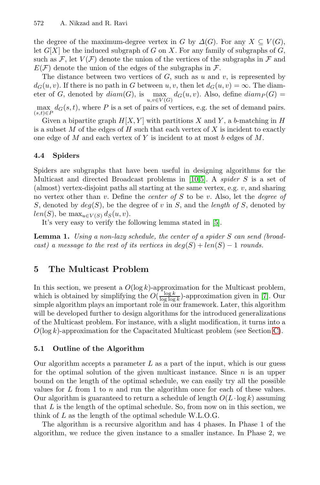the degree of the maximum-degree vertex in G by  $\Delta(G)$ . For any  $X \subseteq V(G)$ , let  $G[X]$  be the induced subgraph of G on X. For any family of subgraphs of G, such as F, let  $V(F)$  denote the union of the vertices of the subgraphs in F and  $E(F)$  denote the union of the edges of the subgraphs in F.

The distance between two vertices of  $G$ , such as  $u$  and  $v$ , is represented by  $d_G(u, v)$ . If there is no path in G between u, v, then let  $d_G(u, v) = \infty$ . The diameter of G, denoted by  $diam(G)$ , is  $\max_{u,v \in V(G)} d_G(u,v)$ . Also, define  $diam_P(G)$  =

 $\max_{\alpha} d_G(s,t)$ , where P is a set [of](#page-14-6) [pa](#page-13-2)irs of vertices, e.g. the set of demand pairs.  $(s,t) \in F$ 

<span id="page-4-0"></span>Given a bipartite graph  $H[X, Y]$  with partitions X and Y, a b-matching in H is a subset  $M$  of the edges of  $H$  such that each vertex of  $X$  is incident to exactly one edge of M and each vertex of Y is incident to at most b edges of M.

### **4.4 Spiders**

Spiders are subgraphs that have been useful in designing algorithms for the Multicast and directed Broadcast problems in [10,5]. A *spider* S is a set of (almost) vertex-disjoint paths all starting at the same vertex, e.g.  $v$ , and sharing no vertex other than v. Define the *center of* S to be v. Also, let the *degree of* S, denoted by deg(S), be the degree of v in S, and the *length of* S, denoted by  $len(S)$ , be  $\max_{u \in V(S)} d_S(u, v)$ .

It's very easy to verify the following lemma stated [in](#page-13-1) [5].

**Lemma 1.** *Using a non-lazy schedule, the center of a spider* S *can send (broadcast)* a message to the rest of its vertices in  $deg(S) + len(S) - 1$  *rounds.* 

# **5 The Multicast Problem**

In this section, we present a  $O(\log k)$ -approximation for the Multicast problem, which is obtained by simplifying the  $O(\frac{\log k}{\log \log k})$ -approximation given in [7]. Our simple algorithm plays an important role in our framework. Later, this algorithm will be developed further to design algorithms for the introduced generalizations of the Multicast problem. For instance, with a slight modification, it turns into a  $O(\log k)$ -approximation for the Capacitated Multicast problem (see Section C).

### **5.1 Outline of the Algorithm**

Our algorithm accepts a parameter  $L$  as a part of the input, which is our guess for the optimal solution of the given multicast instance. Since  $n$  is an upper bound on the length of the optimal schedule, we can easily try all the possible values for  $L$  from 1 to  $n$  and run the algorithm once for each of these values. Our algorithm is guaranteed to return a schedule of length  $O(L \cdot \log k)$  assuming that  $L$  is the length of the optimal schedule. So, from now on in this section, we think of L as the length of the optimal schedule W.L.O.G.

The algorithm is a recursive algorithm and has 4 phases. In Phase 1 of the algorithm, we reduce the given instance to a smaller instance. In Phase 2, we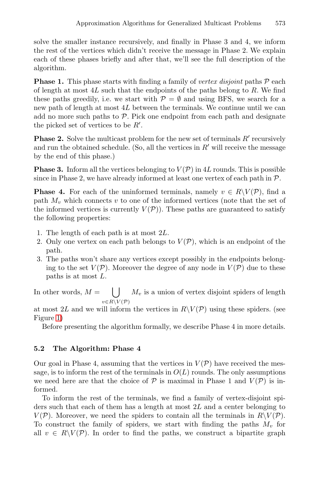solve the smaller instance recursively, and finally in Phase 3 and 4, we inform the rest of the vertices which didn't receive the message in Phase 2. We explain each of these phases briefly and after that, we'll see the full description of the algorithm.

**Phase 1.** This phase starts with finding a family of *vertex disjoint* paths  $\mathcal{P}$  each of length at most  $4L$  such that the endpoints of the paths belong to R. We find these paths greedily, i.e. we start with  $\mathcal{P} = \emptyset$  and using BFS, we search for a new path of length at most 4L between the terminals. We continue until we can add no more such paths to  $P$ . Pick one endpoint from each path and designate the picked set of vertices to be  $R'$ .

**Phase 2.** Solve the multicast problem for the new set of terminals  $R'$  recursively and run the obtained schedule. (So, all the vertices in  $R'$  will receive the message by the end of this phase.)

**Phase 3.** Inform all the vertices belonging to  $V(\mathcal{P})$  in 4L rounds. This is possible since in Phase 2, we have already informed at least one vertex of each path in  $\mathcal{P}$ .

**Phase 4.** For each of the uninformed terminals, namely  $v \in R \setminus V(\mathcal{P})$ , find a path  $M_v$  which connects v to one of the informed vertices (note that the set of the informed vertices is currently  $V(\mathcal{P})$ . These paths are guaranteed to satisfy the following properties:

- <span id="page-5-0"></span>1. The length of each path is at most 2L.
- 2. Only one vertex on each path belongs to  $V(\mathcal{P})$ , which is an endpoint of the path.
- 3. The paths won't share any vertices except possibly in the endpoints belonging to the set  $V(\mathcal{P})$ . Moreover the degree of any node in  $V(\mathcal{P})$  due to these paths is at most L.

In other words,  $M = \begin{pmatrix} \end{pmatrix}$  $v\in R\backslash V(\mathcal{P})$  $M_v$  is a union of vertex disjoint spiders of length

at most 2L and we will inform the vertices in  $R\setminus V(\mathcal{P})$  using these spiders. (see Figure 1)

Before presenting the algorithm formally, we describe Phase 4 in more details.

### **5.2 The Algorithm: Phase 4**

Our goal in Phase 4, assuming that the vertices in  $V(\mathcal{P})$  have received the message, is to inform the rest of the terminals in  $O(L)$  rounds. The only assumptions we need here are that the choice of  $P$  is maximal in Phase 1 and  $V(P)$  is informed.

To inform the rest of the terminals, we find a family of vertex-disjoint spiders such that each of them has a length at most  $2L$  and a center belonging to  $V(\mathcal{P})$ . Moreover, we need the spiders to contain all the terminals in  $R\backslash V(\mathcal{P})$ . To construct the family of spiders, we start with finding the paths  $M_v$  for all  $v \in R\backslash V(\mathcal{P})$ . In order to find the paths, we construct a bipartite graph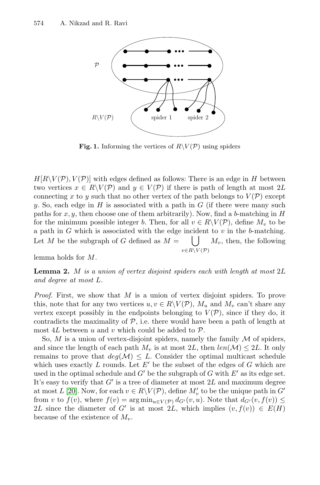

**Fig. 1.** Informing the vertices of  $R\setminus V(\mathcal{P})$  using spiders

 $H[R\setminus V(\mathcal{P}), V(\mathcal{P})]$  with edges defined as follows: There is an edge in H between two vertices  $x \in R \backslash V(\mathcal{P})$  and  $y \in V(\mathcal{P})$  if there is path of length at most 2L connecting x to y such that no other vertex of the path belongs to  $V(\mathcal{P})$  except y. So, each edge in  $H$  is associated with a path in  $G$  (if there were many such paths for  $x, y$ , then choose one of them arbitrarily). Now, find a b-matching in  $H$ for the minimum possible integer b. Then, for all  $v \in R\backslash V(\mathcal{P})$ , define  $M_v$  to be a path in  $G$  which is associated with the edge incident to  $v$  in the  $b$ -matching. Let M be the subgraph of G defined as  $M =$  $\bigcup$   $M_v$ , then, the following  $v\in R\backslash V(\mathcal{P})$ 

lemma holds for M.

**Lemma 2.** M *is a union of vertex disjoint spiders each with length at most* 2L *and degree at most* L*.*

*Proof.* First, we show that M is a union of vertex disjoint spiders. To prove this, note that for any two vertices  $u, v \in R \backslash V(\mathcal{P})$ ,  $M_u$  and  $M_v$  can't share any vertex except possibly in the endpoints belonging to  $V(\mathcal{P})$ , since if they do, it contradicts the maximality of  $P$ , i.e. there would have been a path of length at most 4L between u and v which could be added to  $P$ .

So,  $M$  is a union of vertex-disjoint spiders, namely the family  $M$  of spiders, and since the length of each path  $M_v$  is at most  $2L$ , then  $len(\mathcal{M}) \leq 2L$ . It only remains to prove that  $deg(\mathcal{M}) \leq L$ . Consider the optimal multicast schedule which uses exactly  $L$  rounds. Let  $E'$  be the subset of the edges of  $G$  which are used in the optimal schedule and  $G'$  be the subgraph of  $G$  with  $E'$  as its edge set. It's easy to verify that  $G'$  is a tree of diameter at most  $2L$  and maximum degree at most L [20]. Now, for each  $v \in R \backslash V(\mathcal{P})$ , define  $M'_v$  to be the unique path in  $G'$ from v to  $f(v)$ , where  $f(v) = \arg \min_{u \in V(\mathcal{P})} d_{G'}(v, u)$ . Note that  $d_{G'}(v, f(v)) \le$ 2L since the diameter of G' is at most  $2L$ , which implies  $(v, f(v)) \in E(H)$ because of the existence of  $M_v$ .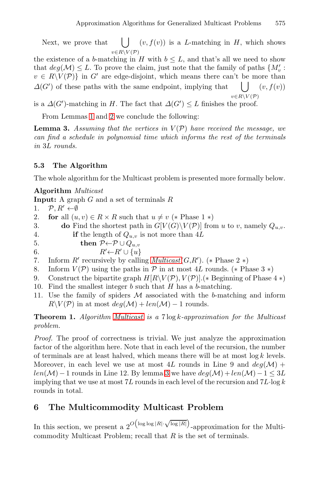<span id="page-7-1"></span><span id="page-7-0"></span>Next, we prove that  $v\in R\backslash V(\mathcal{P})$  $(v, f(v))$  is a L-matching in H, which shows

the existence of a b-matching in H with  $b \leq L$ , and that's all we need to show that  $deg(\mathcal{M}) \leq L$ . To prove the claim, just note that the family of paths  $\{M'_v:$  $v \in R\backslash V(\mathcal{P})\}$  in G' are edge-disjoint, which means there can't be more than  $\Delta(G')$  of these paths with the same endpoint, implying that  $\Box$  $v\in R\backslash V(\mathcal{P})$  $\bigcup$   $(v, f(v))$ 

is a  $\Delta(G')$ -matching in H. The fact that  $\Delta(G') \leq L$  finishes the proof.

From Lemmas 1 and 2 we conclude the following:

**Lemma 3.** Assuming that the vertices in  $V(P)$  have received the message, we *can find a schedule in polynomial time which informs the rest of the terminals in* 3L *rounds.*

#### **5.3 The Algorithm**

<span id="page-7-2"></span>The whole algorithm for the Multicast problem is presented more formally below.

#### **Algorithm** *Multi[cast](#page-7-0)*

**Input:** A graph G and a set of terminals R 1.  $\mathcal{P}, R' \leftarrow \emptyset$ <br>2. for all  $(u$ 2. **for** all  $(u, v) \in R \times R$  such that  $u \neq v$  (\* Phase 1 \*) 3. **do** Find the shortest path in  $G[V(G)\backslash V(\mathcal{P})]$  from u to v, namely  $Q_{u,v}$ .<br>4. **if** the length of  $Q_{u,v}$  is not more than 4L **if** the length of  $Q_{u,v}$  is not more than  $4L$ 5. **[th](#page-7-0)en**  $P \leftarrow P \cup Q_{u,v}$ <br>6.  $R' \leftarrow R' \cup \{u\}$ 6.  $R'$  $R' \leftarrow R' \cup \{u\}$ 7. Inform  $R'$  recursively by calling  $Multicast(G, R')$ . (\* Phase 2 \*) 8. Inform  $V(\mathcal{P})$  using the paths in  $\mathcal{P}$  in at most 4L rounds. (\* Phase 3 \*)<br>9. Construct the bipartite graph  $H[R\setminus V(\mathcal{P}), V(\mathcal{P})]$ . (\* Beginning of Phase Construct the bipartite graph  $H[R\setminus V(\mathcal{P}), V(\mathcal{P})]$ .(\* Beginning of Phase 4 \*) 10. Find the smallest integer  $b$  such that  $H$  has a  $b$ -matching. 11. Use the family of spiders  $M$  associated with the b-matching and inform  $R\backslash V(\mathcal{P})$  $R\backslash V(\mathcal{P})$  $R\backslash V(\mathcal{P})$  in at most  $deg(\mathcal{M}) + len(\mathcal{M}) - 1$  rounds.

<span id="page-7-3"></span>**Theorem 1.** *Algorithm Multicast is a* 7 log k*-approximation for the Multicast problem.*

*Proof.* The proof of correctness is trivial. We just analyze the approximation factor of the algorithm here. Note that in each level of the recursion, the number of terminals are at least halved, which means there will be at most  $\log k$  levels. Moreover, in each level we use at most 4L rounds in Line 9 and  $deg(\mathcal{M})$  +  $len(\mathcal{M})-1$  rounds in Line 12. By lemma 3 we have  $deg(\mathcal{M})+len(\mathcal{M})-1 \leq 3L$ implying that we use at most  $7L$  rounds in each level of the recursion and  $7L \cdot \log k$ rounds in total.

# **6 The Multicommodity Multicast Problem**

In this section, we present a  $2^{O\left(\log \log |R| \cdot \sqrt{\log |R|}\right)}$ -approximation for the Multicommodity Multicast Problem; recall that  $R$  is the set of terminals.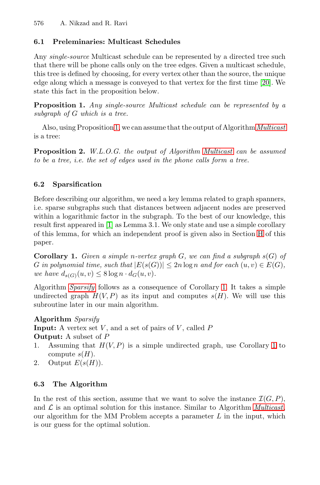### <span id="page-8-2"></span><span id="page-8-0"></span>**6.1 Preleminaries: Multicast Schedules**

Any *si[ngl](#page-8-0)e-source* Multicast schedule can be represe[nted by a d](#page-7-0)irected tree such that there will be phone calls only on the tree edges. Given a multicast schedule, this tree is defined by choosing, for every vertex other than the source, the unique edge along which a message is conv[eyed to tha](#page-7-0)t vertex for the first time [20]. We state this fact in the proposition below.

<span id="page-8-1"></span>**Proposition 1.** *Any single-source Multicast schedule can be represented by a subgraph of* G *which is a tree.*

Also, using Proposition 1, we can assume that the output of Algorithm *Multicast* is a tree:

**Proposition 2.** *W.L.O.G. the output of Algorithm Multicast can be assumed to be [a](#page-13-3) tree, i.e. the set of edges used in the phone c[alls](#page-34-0) form a tree.*

# **6.2 Sparsification**

Before describing our algorithm, we need a key lemma related to graph spanners, i.e. sparse subgraphs such that distances between adjacent nodes are preserved within a logarithmic factor in the subgra[ph](#page-8-1). To the best of our knowledge, this [re](#page-8-1)sult first appeared in [1] as Lemma 3.1. We only state and use a simple corollary of this lemma, for which an independent proof is given also in Section H of this paper.

**Corollary 1.** *Given a simple n*-vertex graph  $G$ *, we can find a subgraph*  $s(G)$  *of* G in polynomial time, such that  $|E(s(G))| \leq 2n \log n$  and for each  $(u, v) \in E(G)$ , *we have*  $d_{s(G)}(u, v) \leq 8 \log n \cdot d_G(u, v)$ *.* 

Algorithm *Sparsify* follows as a consequence of Corollary 1. It takes a simple undirected graph  $H(V, P)$  as its input and computes  $s(H)$ . We will use this subroutine later in our main algorithm.

**Algorithm** *Sparsify*

**Input:** A vertex set  $V$ , and a set of pairs of  $V$ , called  $P$ **Output:** A subset of P

- 1. Ass[u](#page-7-0)ming that  $H(V, P)$  is a simple un[d](#page-7-0)irected [graph,](#page-7-0) use Corollary 1 to compute  $s(H)$ .
- 2. Output  $E(s(H))$ .

### **6.3 The Algorithm**

In the rest of this section, assume that we want to solve the instance  $\mathcal{I}(G, P)$ , and  $\mathcal L$  is an optimal solution for this instance. Similar to Algorithm *Multicast*, our algorithm for the MM Problem accepts a parameter  $L$  in the input, which is our guess for the optimal solution.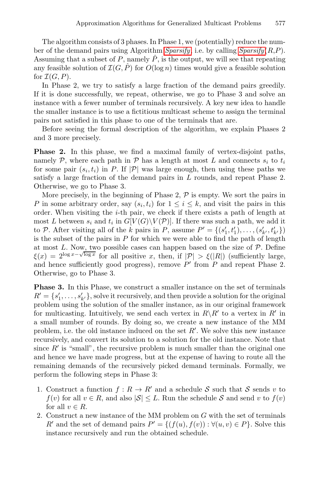The algorithm consists of 3 phases. In Phase 1, we (potentially) reduce the number of the demand pairs using Algorithm *Sparsify*, i.e. by calling *Sparsify*(R,P). Assuming that a subset of P, namely  $\hat{P}$ , is the output, we will see that repeating any feasible solution of  $\mathcal{I}(G, \hat{P})$  for  $O(\log n)$  times would give a feasible solution for  $\mathcal{I}(G, P)$ .

In Phase 2, we try to satisfy a large fraction of the demand pairs greedily. If it is done successfully, we repeat, otherwise, we go to Phase 3 and solve an instance with a fewer number of terminals recursively. A key new idea to handle the smaller instance is to use a fictitious multicast scheme to assign the terminal pairs not satisfied in this phase to one of the terminals that are.

Before seeing the formal description of the algorithm, we explain Phases 2 and 3 more precisely.

**Phase 2.** In this phase, we find a maximal family of vertex-disjoint paths, namely  $P$ , where each path in  $P$  has a length at most L and connects  $s_i$  to  $t_i$ for some pair  $(s_i, t_i)$  in P. If  $|\mathcal{P}|$  was large enough, then using these paths we satisfy a large fraction of the demand pairs in L rounds, and repeat Phase 2. Otherwise, we go to Phase 3.

More precisely, in the beginning of Phase  $2, \mathcal{P}$  is empty. We sort the pairs in P in some arbitrary order, say  $(s_i, t_i)$  for  $1 \leq i \leq k$ , and visit the pairs in this order. When visiting the  $i$ -th pair, we check if there exists a path of length at most L between  $s_i$  and  $t_i$  in  $G[V(G)\setminus V(\mathcal{P})]$ . If there was such a path, we add it to P. After visiting all of the k pairs in P, assume  $P' = \{(s'_1, t'_1), \ldots, (s'_{k'}, t'_{k'})\}$ is the subset of the pairs in  $P$  for which we were able to find the path of length at most  $L$ . Now, two possible cases can happen based on the size of  $P$ . Define  $\xi(x)=2^{\log x-\sqrt{\log x}}$  for all positive x, then, if  $|\mathcal{P}| > \xi(|R|)$  (sufficiently large, and hence sufficiently good progress), remove  $P'$  from  $P$  and repeat Phase 2. Otherwise, go to Phase 3.

**Phase 3.** In this Phase, we construct a smaller instance on the set of terminals  $R' = \{s'_1, \ldots, s'_{k'}\},$  solve it recursively, and then provide a solution for the original problem using the solution of the smaller instance, as in our original framework for multicasting. Intuitively, we send each vertex in  $R\backslash R'$  to a vertex in R' in a small number of rounds. By doing so, we create a new instance of the MM problem, i.e. the old instance induced on the set  $R'$ . We solve this new instance recursively, and convert its solution to a solution for the old instance. Note that since  $R'$  is "small", the recursive problem is much smaller than the original one and hence we have made progress, but at the expense of having to route all the remaining demands of the recursively picked demand terminals. Formally, we perform the following steps in Phase 3:

- 1. Construct a function  $f: R \to R'$  and a schedule S such that S sends v to  $f(v)$  for all  $v \in R$ , and also  $|S| \leq L$ . Run the schedule S and send v to  $f(v)$ for all  $v \in R$ .
- 2. Construct a new instance of the MM problem on G with the set of terminals R' and the set of demand pairs  $P' = \{(f(u), f(v)) : \forall (u, v) \in P\}$ . Solve this instance recursively and run the obtained schedule.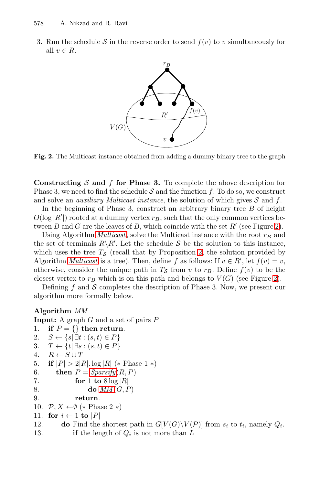<span id="page-10-1"></span>3. Run the schedule S in the reverse order to send  $f(v)$  to v simultaneously for all  $v \in R$ .

<span id="page-10-0"></span>

**Fig. 2.** The Multicast instance obtained from adding a dummy [bin](#page-10-0)ary tree to the graph

**Constructing** S **and** f **for Ph[as](#page-8-2)e 3.** To complete the above description for [Ph](#page-7-0)ase 3, we need to find the schedule  $S$  and the function f. To do so, we construct and solve an *auxiliary Multicast instance*, the solution of which gives S and f.

In the beginning of Phase 3, construct an arbitrary b[ina](#page-10-0)ry tree  $B$  of height  $O(\log |R'|)$  rooted at a dummy vertex  $r_B$ , such that the only common vertices between B and G are the leaves of B, which coincide with the set  $R'$  (see Figure 2).

Using Algorithm *Multicast*, solve the Multicast instance with the root  $r_B$  and the set of terminals  $R \backslash R'$ . Let the schedule S be the solution to this instance, which uses the tree  $T<sub>S</sub>$  (recall that by Proposition 2, the solution provided by Algorithm *Multicast* is a tree). Then, define f as follows: If  $v \in R'$ , let  $f(v) = v$ , otherwise, consider the unique path in  $T<sub>S</sub>$  from v to  $r<sub>B</sub>$ . Define  $f(v)$  to be the closest vertex to  $r_B$  which is on this path and belongs to  $V(G)$  (see Figure 2).

Defining  $f$  and  $S$  completes the description of Phase 3. Now, we present our algorithm more formally below.

### **[Algorith](#page-8-1)m** *MM*

**In[put:](#page-10-1)** A graph G and a set of pairs P

- 1. **if**  $P = \{\}$  then return.<br>2.  $S \leftarrow \{s | \exists t : (s, t) \in P\}$
- 
- 2.  $S \leftarrow \{s | \exists t : (s, t) \in P\}$ <br>3.  $T \leftarrow \{t | \exists s : (s, t) \in P\}$ 3.  $T \leftarrow \{t | \exists s : (s, t) \in P\}$ <br>4.  $R \leftarrow S \cup T$
- 
- 4.  $R \leftarrow S \cup T$ <br>5. if  $|P| > 2|I$ 5. **if**  $|P| > 2|R| \cdot \log |R|$  (\* Phase 1 \*)<br>6. **then**  $P =$  Sparsify (R, P)
- **then**  $P = Sparsify(R, P)$
- 
- 7. **for** 1 **to**  $8 \log |R|$ <br>8. **do**  $MM(G, P)$ do  $MM(G, P)$
- 9. **return**.
- 
- 10.  $\mathcal{P}, X \leftarrow \emptyset$  (\* Phase 2 \*)
- 11. **for**  $i \leftarrow 1$  **to**  $|P|$ <br>12. **do** Find the
- 12. **do** Find the shortest path in  $G[V(G)\backslash V(\mathcal{P})]$  from  $s_i$  to  $t_i$ , namely  $Q_i$ .<br>13. **if** the length of  $Q_i$  is not more than  $L$
- if the length of  $Q_i$  is not more than  $L$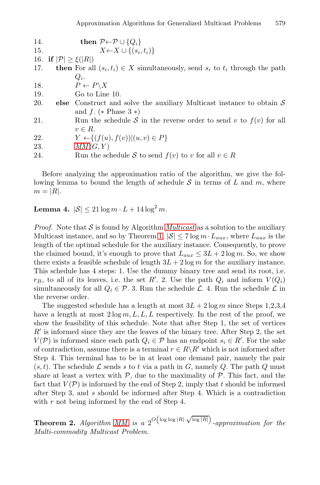<span id="page-11-0"></span>14. **then**  $\mathcal{P} \leftarrow \mathcal{P} \cup \{Q_i\}$ <br>15.  $X \leftarrow X \cup \{(s_i,$ 15.<br>
16. if  $|\mathcal{P}| > \xi(|R|)$ <br>  $X \leftarrow X \cup \{(s_i, t_i)\}$ 16. **if**  $|\mathcal{P}| \ge \xi(|R|)$ <br>17. **then** For all **then** For all  $(s_i, t_i) \in X$  simultaneously, send  $s_i$  to  $t_i$  through the path  $Q_i$ . 18.  $P \leftarrow P \setminus X$ <br>19. Go to Line Go to Line 10. 20. **else** Construct and solve the auxiliary Multicast instance to obtain S and f.  $(*$  Phase 3  $*)$ 21. Run the schedule S in the reverse order to send v to  $f(v)$  for all  $v \in R$ . 22.  $Y \leftarrow \{(f(u), f(v)) | (u, v) \in P\}$ <br>23.  $MM(G, Y)$  $MM(G, Y)$ 24. Run the s[chedule](#page-7-0) S to send  $f(v)$  to v for all  $v \in R$ 

Before analyzing t[he](#page-7-2) approximation ratio of the algorithm, we give the following lemma to bound the length of schedule  $S$  in terms of  $L$  and  $m$ , where  $m = |R|$ .

**Lemma 4.**  $|\mathcal{S}| \leq 21 \log m \cdot L + 14 \log^2 m$ .

*Proof.* Note that S is found by Algorithm *Multicast* as a solution to the auxiliary Multicast instance, and so by Theorem 1,  $|\mathcal{S}| \leq 7 \log m \cdot L_{aux}$ , where  $L_{aux}$  is the length of the optimal schedule for the auxiliary instance. Consequently, to prove the claimed bound, it's enough to prove that  $L_{aux} \leq 3L + 2 \log m$ . So, we show there exists a feasible schedule of length  $3L + 2 \log m$  for the auxiliary instance. This schedule has 4 steps: 1. Use the dummy binary tree and send its root, i.e.  $r_B$ , to all of its leaves, i.e. the set R'. 2. Use the path  $Q_i$  and inform  $V(Q_i)$ simultaneously for all  $Q_i \in \mathcal{P}$ . 3. Run the schedule  $\mathcal{L}$ . A. Run the schedule  $\mathcal{L}$  in the reverse order.

<span id="page-11-1"></span>The suggested schedule has a length at most  $3L + 2 \log m$  since Steps 1,2,3,4 have a length at most  $2 \log m, L, L, L$  respectively. In the rest of the proof, we show the feasibility of this schedule. Note that after Step 1, the set of vertices  $R'$  is informed since they are the leaves of the binary tree. After Step 2, the set  $V(P)$  is informed since each path  $Q_i \in P$  has an endpoint  $s_i \in R'$ . For the sake of contradiction, assume there is a terminal  $r \in R \backslash R'$  which is not informed after Step 4. [This](#page-10-1) terminal has to be in at least one demand pair, namely the pair  $(s, t)$ . The schedule  $\mathcal L$  sends s to t via a path in G, namely Q. The path Q must share at least a vertex with  $P$ , due to the maximality of  $P$ . This fact, and the fact that  $V(\mathcal{P})$  is informed by the end of Step 2, imply that t should be informed after Step 3, and s should be informed after Step 4. Which is a contradiction with  $r$  not being informed by the end of Step 4.

**Theorem 2.** Algorithm MM is a  $2^{O\left(\log \log |R| \cdot \sqrt{\log |R|}\right)}$ -approximation for the *Multi-commodity Multicast Problem.*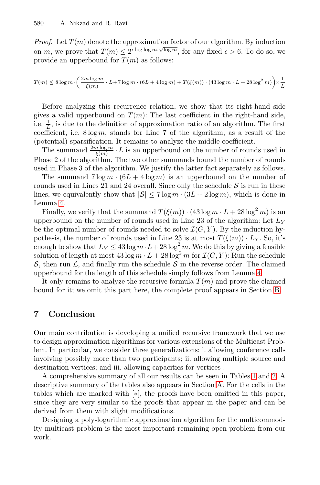*Proof.* Let  $T(m)$  denote the approximation factor of our algorithm. By induction on m, we prove that  $T(m) \leq 2^{\epsilon \log \log m \cdot \sqrt{\log m}}$ , for any fixed  $\epsilon > 6$ . To do so, we provide an upperbound for  $T(m)$  as follows:

$$
T(m) \leq 8\log m \cdot \left(\frac{2m\log m}{\xi(m)} \cdot L + 7\log m \cdot (6L + 4\log m) + T(\xi(m)) \cdot (43\log m \cdot L + 28\log^2 m)\right) \times \frac{1}{L}
$$

Before analyzing this recurrence relation, we show that its right-hand side gives a valid upperbound on  $T(m)$ : The last coefficient in the right-hand side, i.e.  $\frac{1}{L}$ , is due to the definition of approximation ratio of an algorithm. The first coefficient, i.e.  $8 \log m$ , stands for Line 7 of the algorithm, as a result of the (potential) sparsification. It remains to analyze the middle coefficient.

The summand  $\frac{2m \log m}{\xi(m)} \cdot L$  is an upperbound on the number of rounds used in Phase 2 of the algorithm. The two other summands bound the number of rounds used in Phase 3 of the algorithm. We justify the latter fact separately as follows.

<span id="page-12-0"></span>The summand  $7 \log m \cdot (6L + 4 \log m)$  is an upperbound on the number of rounds used in Lines 21 and 24 overall. Since only the schedule  $S$  is run in these lines, we equivalently show that  $|S| \leq 7 \log m \cdot (3L + 2 \log m)$ , which is done in Lemma 4.

Finally, we verify that the summand  $T(\xi(m)) \cdot (43 \log m \cdot L + 28 \log^2 m)$  $T(\xi(m)) \cdot (43 \log m \cdot L + 28 \log^2 m)$  $T(\xi(m)) \cdot (43 \log m \cdot L + 28 \log^2 m)$  $T(\xi(m)) \cdot (43 \log m \cdot L + 28 \log^2 m)$  $T(\xi(m)) \cdot (43 \log m \cdot L + 28 \log^2 m)$  is an upperbound on [the](#page-16-0) number of rounds used in Line 23 of the algorithm: Let  $L<sub>Y</sub>$ be the optimal number of rounds needed to solve  $\mathcal{I}(G, Y)$ . By the induction hypothesis, the number of rounds used in Line 23 is at most  $T(\xi(m)) \cdot L_Y$ . So, it's enough to show that  $L_Y \leq 43 \log m \cdot L + 28 \log^2 m$ . We do this by giving a feasible solution of length at most  $43 \log m \cdot L + 28 \log^2 m$  for  $\mathcal{I}(G, Y)$ : Run the schedule S, then run  $\mathcal{L}$ , and finally run the schedule S in the reverse order. The claimed upperbound for the length of this schedule simply follows from Lemma 4.

It only remains to analyze the recursive formula  $T(m)$  and prove the claimed bound for it; we omit this part here, the complete proof appears in Section B.

# **7 Conclusion**

Our main contribution is developing a unified recursive framework that we use to design approximation algorithms for various extensions of the Multicast Problem. In particular, we consider three generalizations: i. allowing conference calls involving possibly more than two participants; ii. allowing multiple source and destination vertices; and iii. allowing capacities for vertices .

A comprehensive summary of all our results can be seen in Tables 1 and 2. A descriptive summary of the tables also appears in Section A. For the cells in the tables which are marked with [∗], the proofs have been omitted in this paper, since they are very similar to the proofs that appear in the paper and can be derived from them with slight modifications.

Designing a poly-logarithmic approximation algorithm for the multicommodity multicast problem is the most important remaining open problem from our work.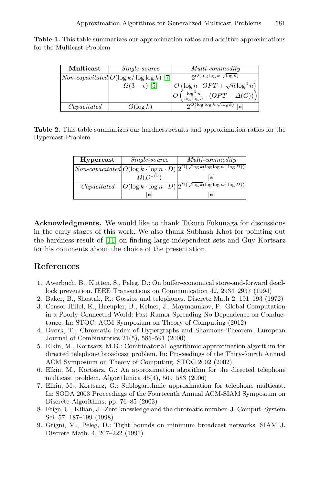| Multicast   | Single-source                                        | $Multi\text{-}commodity$                                            |
|-------------|------------------------------------------------------|---------------------------------------------------------------------|
|             | <i>Non-capacitated</i> $O(\log k / \log \log k)$ [7] | $\Omega$ (log log $k \cdot \sqrt{\log k}$ )                         |
|             | $\Omega(3-\epsilon)$ [5]                             | $O\left(\log n \cdot OPT + \sqrt{n} \log^2 n\right)$                |
|             |                                                      | $\left(\frac{\log^3 n}{\log \log n} \cdot (OPT + \Delta(G))\right)$ |
| Capacitated | $O(\log k)$                                          | $2^{O(\log \log k \cdot \sqrt{\log k})}$<br>آ∗'                     |

**Table 1.** This table summarizes our approximation ratios and additive approximations for the Multicast Problem

<span id="page-13-3"></span><span id="page-13-0"></span>**Table 2.** This table summarizes our hardness results and approximation ratios for the Hypercast Problem

| Hypercast   | <i>Single-source</i> | $Multi-commodity$                                                                             |
|-------------|----------------------|-----------------------------------------------------------------------------------------------|
|             |                      | $ Non-capacitated O(\log k \cdot \log n \cdot D)  2^{O(\sqrt{\log k}(\log \log n + \log D))}$ |
|             | $\Omega(D^{1/3})$    | l∗l                                                                                           |
| Capacitated |                      | $ O(\log k \cdot \log n \cdot D)  2^{O(\sqrt{\log k}(\log \log n + \log D))}$                 |
|             | $\ast$               | $\ast$                                                                                        |

<span id="page-13-4"></span><span id="page-13-2"></span>**Acknowledgments.** We would like to thank Takuro Fukunaga for discussions in the early stages of this work. We also thank Subhash Khot for pointing out the hardness result of [11] on finding large independent sets and Guy Kortsarz for his comments about the choice of the presentation.

# <span id="page-13-1"></span>**References**

- <span id="page-13-5"></span>1. Awerbuch, B., Kutten, S., Peleg, D.: On buffer-economical store-and-forward deadlock prevention. IEEE Transactions on Communication 42, 2934–2937 (1994)
- 2. Baker, B., Shostak, R.: Gossips and telephones. Discrete Math 2, 191–193 (1972)
- 3. Censor-Hillel, K., Haeupler, B., Kelner, J., Maymounkov, P.: Global Computation in a Poorly Connected World: Fast Rumor Spreading No Dependence on Conductance. In: STOC: ACM Symposium on Theory of Computing (2012)
- 4. Dvork, T.: Chromatic Index of Hypergraphs and Shannons Theorem. European Journal of Combinatorics 21(5), 585–591 (2000)
- 5. Elkin, M., Kortsarz, M.G.: Combinatorial logarithmic approximation algorithm for directed telephone broadcast problem. In: Proceedings of the Thiry-fourth Annual ACM Symposium on Theory of Computing, STOC 2002 (2002)
- 6. Elkin, M., Kortsarz, G.: An approximation algorithm for the directed telephone multicast problem. Algorithmica 45(4), 569–583 (2006)
- 7. Elkin, M., Kortsarz, G.: Sublogarithmic approximation for telephone multicast. In: SODA 2003 Proceedings of the Fourteenth Annual ACM-SIAM Symposium on Discrete Algorithms, pp. 76–85 (2003)
- 8. Feige, U., Kilian, J.: Zero knowledge and the chromatic number. J. Comput. System Sci. 57, 187–199 (1998)
- 9. Grigni, M., Peleg, D.: Tight bounds on minimum broadcast networks. SIAM J. Discrete Math. 4, 207–222 (1991)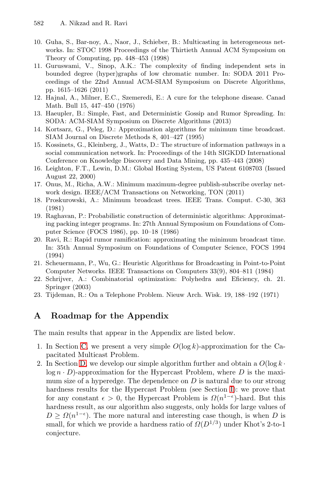- <span id="page-14-9"></span><span id="page-14-7"></span><span id="page-14-6"></span><span id="page-14-4"></span><span id="page-14-3"></span><span id="page-14-0"></span>10. Guha, S., Bar-noy, A., Naor, J., Schieber, B.: Multicasting in heterogeneous networks. In: STOC 1998 Proceedings of the Thirtieth Annual ACM Symposium on Theory of Computing, pp. 448–453 (1998)
- <span id="page-14-5"></span>11. Guruswami, V., Sinop, A.K.: The complexity of finding independent sets in bounded degree (hyper)graphs of low chromatic number. In: SODA 2011 Proceedings of the 22nd Annual ACM-SIAM Symposium on Discrete Algorithms, pp. 1615–1626 (2011)
- 12. Hajnal, A., Milner, E.C., Szemeredi, E.: A cure for the telephone disease. Canad Math. Bull 15, 447–450 (1976)
- <span id="page-14-1"></span>13. Haeupler, B.: Simple, Fast, and Deterministic Gossip and Rumor Spreading. In: SODA: ACM-SIAM Symposium on Discrete Algorithms (2013)
- <span id="page-14-2"></span>14. Kortsarz, G., Peleg, D.: Approximation algorithms for minimum time broadcast. SIAM Journal on Discrete Methods 8, 401–427 (1995)
- <span id="page-14-8"></span>15. Kossinets, G., Kleinberg, J., Watts, D.: The structure of information pathways in a social communication network. In: Proceedings of the 14th SIGKDD International Conference on Knowledge Discovery and Data Mining, pp. 435–443 (2008)
- 16. Leighton, F.T., Lewin, D.M.: Global Hosting System, US Patent 6108703 (Issued August 22, 2000)
- 17. Onus, M., Richa, A.W.: Minimum maximum-degree publish-subscribe overlay network design. IEEE/ACM Transactions on Networking, TON (2011)
- 18. Proskurowski, A.: Minimum broadcast trees. IEEE Trans. Comput. C-30, 363 (1981)
- 19. Raghavan, P.: Probabilistic construction of deterministic algorithms: Approximating packing integer programs. In: 27th Annual Symposium on Foundations of Computer Science (FOCS 1986), pp. 10–18 (1986)
- 20. Ravi, R.: Rapid rumor ramification: approximating the minimum broadcast time. In: 35th Annual Symposium on Foundations of Computer Science, FOCS 1994 (1994)
- 21. Scheuermann, P., Wu, G.: Heuristic Algorithms for Broadcasting in Point-to-Point Computer Networks. IEEE Transactions on Computers 33(9), 804–811 (1984)
- 22. Schrijver, A.: Combinatorial optimization: Polyhedra and Eficiency, ch. 21. Springer (2003)
- 23. Tijdeman, R.: On a Telephone Problem. Nieuw Arch. Wisk. 19, 188–192 (1971)

# **A Roadmap for the Appendix**

The main results that appear in the Appendix are listed below.

- 1. In Section C, we present a very simple  $O(\log k)$ -approximation for the Capacitated Multicast Problem.
- 2. In Section D, we develop our simple algorithm further and obtain a  $O(\log k \cdot$  $\log n \cdot D$ )-approximation for the Hypercast Problem, where D is the maximum size of a hyperedge. The dependence on  $D$  is natural due to our strong hardness results for the Hypercast Problem (see Section I): we prove that for any constant  $\epsilon > 0$ , the Hypercast Problem is  $\Omega(n^{1-\epsilon})$ -hard. But this hardness result, as our algorithm also suggests, only holds for large values of  $D \geq \Omega(n^{1-\epsilon})$ . The more natural and interesting case though, is when D is small, for which we provide a hardness ratio of  $\Omega(D^{1/3})$  under Khot's 2-to-1 conjecture.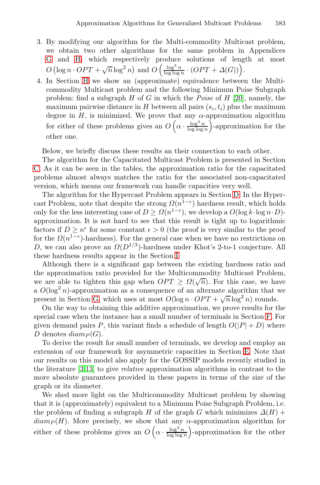- 3. By modifying our algorithm for the Multi-commodity Multicast problem, we obtain two other algorithms for the same problem in Appendices G and H, which respectively produce solutions of length at most  $O\left(\log n \cdot OPT + \sqrt{n} \log^2 n\right)$  and  $O\left(\frac{\log^3 n}{\log \log n} \cdot (OPT + \Delta(G))\right)$ .
- 4. In Section H we show an (approximate) equivalence between the Multicommodity Multicast problem and the following Minimum Poise Subgraph problem: find a subgraph H of G in which the *Poise* of H [20], namely, the maximum pairwise distance in H between all pairs  $(s_i, t_i)$  plus the maximum degree in  $H$ , is minimized. We prove that any  $\alpha$ -approximation algorithm for either of these problems gives an  $O\left(\alpha \cdot \frac{\log^3 n}{\log \log n}\right)$ -approximation for the other one.

Below, we briefly discuss these results an their connection to each other.

The algorithm for the Capacitated Multicast Problem is presented in Section C. As it can be seen in the tables, the approximation ratio for the capacitated problems almost always matches the ratio for the associated non-capacitated version, which means our [fra](#page-37-0)mework can handle capacities very well.

The algorithm for the Hypercast Problem appears in Section D. In the Hypercast Problem, note that despite the strong  $\Omega(n^{1-\epsilon})$  hardness result, which holds only for the less interesting case of  $D \geq \Omega(n^{1-\epsilon})$ , we develop a  $O(\log k \cdot \log n \cdot D)$ approximation. It is not hard to see that this result is tight up to logarithmic [fac](#page-30-0)tors if  $D \geq n^{\epsilon}$  for some constant  $\epsilon > 0$  (the proof is very similar to the proof for the  $\Omega(n^{1-\epsilon})$ -hardness). For the general case when we have no restrictions on D, we can also prove an  $\Omega(D^{1/3})$ -hardness under Kho[t's](#page-27-0) 2-to-1 conjecture. All these hardness results appear in the Section I.

Although there is a significant gap between the existing hardness ratio and the approximation ratio provided for the Multicommodity Multicast Problem, we are able to tighten this gap when  $OPT \geq \Omega(\sqrt{n})$ . For this case, we have a  $O(\log^2 n)$ -approximation as a consequence of an alternate algorithm that we [p](#page-14-7)resent in Section G, which uses at most  $O(\log n \cdot OPT + \sqrt{n} \log^2 n)$  rounds.

On the way to obtaining this additive approximation, we prove results for the special case when the instance has a small number of terminals in Section F. For given demand pairs P, this variant finds a schedule of length  $O(|P| + D)$  where D denotes  $diam_P(G)$ .

To derive the result for small number of terminals, we develop and employ an extension of our framework for asymmetric capacities in Section E. Note that our results on this model also apply for the GOSSIP models recently studied in the literature [3,13] to give *relative* approximation algorithms in contrast to the more absolute guarantees provided in these papers in terms of the size of the graph or its diameter.

We shed more light on the Multicommodity Multicast problem by showing that it is (approximately) equivalent to a Minimum Poise Subgraph Problem, i.e. the problem of finding a subgraph H of the graph G which minimizes  $\Delta(H)$  +  $diam_P (H)$ . More precisely, we show that any  $\alpha$ -approximation algorithm for either of these problems gives an  $O\left(\alpha \cdot \frac{\log^3 n}{\log \log n}\right)$ -approximation for the other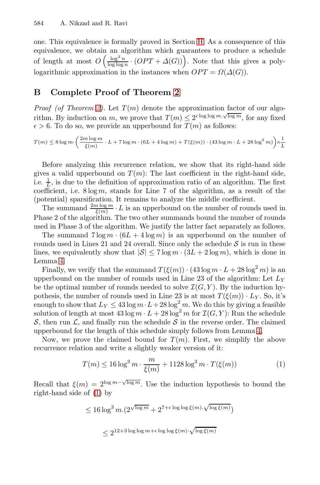<span id="page-16-1"></span><span id="page-16-0"></span>o[ne](#page-11-1). This equivalence is formally proved in Section H. As a consequence of this equivalence, we obtain an algorithm which guarantees to produce a schedule of length at most  $O\left(\frac{\log^3 n}{\log \log n} \cdot (OPT + \Delta(G))\right)$ . Note that this gives a polylogarithmic approximation in the instances when  $OPT = \Omega(\Delta(G)).$ 

# **B Complete Proof of Theorem 2**

*Proof (of Theorem 2).* Let  $T(m)$  denote the approximation factor of our algorithm. By induction on m, we prove that  $T(m) \leq 2^{\epsilon \log \log m \sqrt{\log m}}$ , for any fixed  $\epsilon > 6$ . To do so, we provide an upperbound for  $T(m)$  as follows:

$$
T(m) \le 8\log m \cdot \left(\frac{2m\log m}{\xi(m)} \cdot L + 7\log m \cdot (6L + 4\log m) + T(\xi(m)) \cdot (43\log m \cdot L + 28\log^2 m)\right) \times \frac{1}{L}
$$

Before analyzing this recurrence relation, we show that its right-hand side gives a valid upperbound on  $T(m)$ : The last coefficient in the right-hand side, i.e.  $\frac{1}{L}$ , is due to the definition of approximation ratio of an algorithm. The first coefficient, i.e.  $8 \log m$ , stands for Line 7 of the algorithm, as a result of the (potential) sparsification. It remains to analyze the middle coefficient.

The summand  $\frac{2m \log m}{\xi(m)} \cdot L$  is an upperbound on the number of rounds used in Phase 2 of the algorithm. The two other summands bound the number of rounds used in Phase 3 of the algorithm. We justify the latter fact separately as follows.

The summand  $7 \log m \cdot (6L + 4 \log m)$  is an upperbound on the number of rounds used in Lines 21 and 24 overall. Since only the schedule  $\mathcal S$  is run in these lines, we equivalently show that  $|\mathcal{S}| \leq 7 \log m \cdot (3L + 2 \log m)$ , which is done in Lemma 4.

<span id="page-16-2"></span>Finally, we verify that the summand  $T(\xi(m)) \cdot (43 \log m \cdot L + 28 \log^2 m)$  $T(\xi(m)) \cdot (43 \log m \cdot L + 28 \log^2 m)$  $T(\xi(m)) \cdot (43 \log m \cdot L + 28 \log^2 m)$  $T(\xi(m)) \cdot (43 \log m \cdot L + 28 \log^2 m)$  $T(\xi(m)) \cdot (43 \log m \cdot L + 28 \log^2 m)$  is an upperbound on the number of rounds used in Line 23 of the algorithm: Let  $L<sub>Y</sub>$ be the optimal number of rounds needed to solve  $\mathcal{I}(G, Y)$ . By the induction hypothesis, the number of rounds used in Line 23 is at most  $T(\xi(m)) \cdot L_Y$ . So, it's enough to show that  $L_Y \leq 43 \log m \cdot L + 28 \log^2 m$ . We do this by giving a feasible solution of length at most  $43 \log m \cdot L + 28 \log^2 m$  for  $\mathcal{I}(G, Y)$ : Run the schedule S, then run  $\mathcal{L}$ , and finally run the schedule S in the reverse order. The claimed u[pp](#page-16-1)erbound for the length of this schedule simply follows from Lemma 4.

Now, we prove the claimed bound for  $T(m)$ . First, we simplify the above recurrence relation and write a slightly weaker version of it:

$$
T(m) \le 16 \log^3 m \cdot \frac{m}{\xi(m)} + 1128 \log^3 m \cdot T(\xi(m)) \tag{1}
$$

Recall that  $\xi(m)=2^{\log m-\sqrt{\log m}}$ . Use the induction hypothesis to bound the right-hand side of (1) by

$$
\leq 16 \log^3 m.(2^{\sqrt{\log m}} + 2^{7 + \epsilon \log \log \xi(m). \sqrt{\log \xi(m)}})
$$

 $\leq 2^{12+3\log\log m + \epsilon\log\log\xi(m)\cdot \sqrt{\log\xi(m)}}$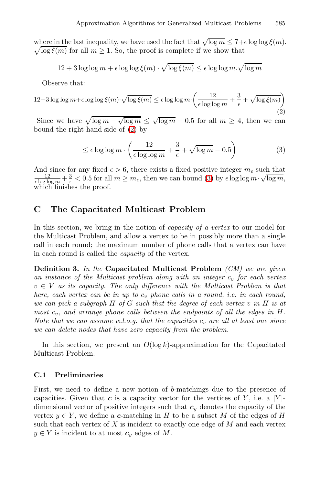where in the last inequality, we have used the fact that  $\sqrt{\log m} \leq 7 + \epsilon \log \log \xi(m)$ .  $\sqrt{\log \xi(m)}$  for all  $m \geq 1$ . So, the proof is complete if we show that

<span id="page-17-1"></span>
$$
12 + 3\log\log m + \epsilon \log\log \xi(m) \cdot \sqrt{\log \xi(m)} \le \epsilon \log \log m \cdot \sqrt{\log m}
$$

<span id="page-17-0"></span>Observe that:

$$
12 + 3\log\log m + \epsilon \log\log \xi(m) \cdot \sqrt{\log \xi(m)} \le \epsilon \log\log m \cdot \left(\frac{12}{\epsilon \log\log m} + \frac{3}{\epsilon} + \sqrt{\log \xi(m)}\right)
$$
\n
$$
(2)
$$

Since we have  $\sqrt{\log m} - \sqrt{\log m} \le \sqrt{\log m} - 0.5$  for all  $m \ge 4$ , then we can bound the right-hand side of (2) by

$$
\leq \epsilon \log \log m \cdot \left(\frac{12}{\epsilon \log \log m} + \frac{3}{\epsilon} + \sqrt{\log m} - 0.5\right) \tag{3}
$$

And since for any fixed  $\epsilon > 6$ , there exists a fixed positive integer  $m_{\epsilon}$  such that  $\frac{12}{\epsilon \log \log m} + \frac{3}{\epsilon} < 0.5$  for all  $m \ge m_{\epsilon}$ , then we can bound (3) by  $\epsilon \log \log m \cdot \sqrt{\log m}$ , which finishes the proof.

# **C The Capacitated Multicast Problem**

In this section, we bring in the notion of *capacity of a vertex* to our model for the Multicast Problem, and allow a vertex to be in possibly more than a single call in each round; the maximum number of phone calls that a vertex can have in each round is called the *capacity* of the vertex.

**Definition 3.** *In the* **Capacitated Multicast Problem** *(CM) we are given* an instance of the Multicast problem along with an integer  $c_v$  for each vertex  $v \in V$  *as its capacity. The only difference with the Multicast Problem is that here, each vertex can be in up to*  $c_v$  *phone calls in a round, i.e. in each round, we can pick a subgraph* H *of* G *such that the degree of each vertex* v *in* H *is at most*  $c_v$ , and arrange phone calls between the endpoints of all the edges in H. *Note that we can assume w.l.o.g. that the capacities*  $c_v$  *are all at least one since we can delete nodes that have zero capacity from the problem.*

In this section, we present an  $O(\log k)$ -approximation for the Capacitated Multicast Problem.

### **C.1 Preliminaries**

First, we need to define a new notion of b-matchings due to the presence of capacities. Given that  $c$  is a capacity vector for the vertices of Y, i.e. a |Y|dimensional vector of positive integers such that  $c_y$  denotes the capacity of the vertex  $y \in Y$ , we define a *c*-matching in H to be a subset M of the edges of H such that each vertex of  $X$  is incident to exactly one edge of  $M$  and each vertex  $y \in Y$  is incident to at most  $c_y$  edges of M.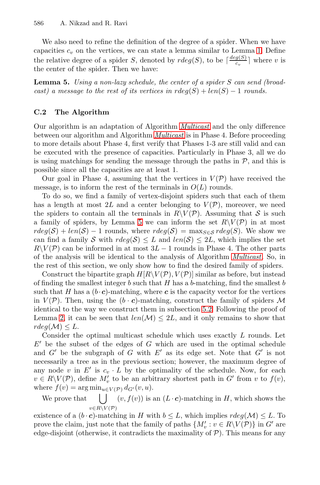<span id="page-18-0"></span>We also need to refine the definition of the degree of a spider. When we have capacities  $c_v$  on the vertices, we can state a lemma similar to Lemma 1. Define the relative degree of a spider S[, deno](#page-7-0)ted by  $rdeg(S)$ , to be  $\lceil \frac{deg(S)}{c_v} \rceil$  where v is the center of the sp[ider. Then](#page-7-0) we have:

**Lemma 5.** *Using a non-lazy schedule, the center of a spider* S *can send (broadcast)* a message to the rest of its vertices in  $rde(aS) + len(S) - 1$  *rounds.* 

#### **C.2 The Algorithm**

Our algorithm is an adaptation of Algorithm *Multicast* and the only difference between our algorithm and Algorithm *Multicast* is in Phase 4. Before proceeding to more details about Phase 4, first verify that Phases 1-3 are still valid and can be executed w[ith](#page-18-0) the presence of capacities. Particularly in Phase 3, all we do is using matchings for sending the message through the paths in  $\mathcal{P}$ , and this is possible since all the capacities are at least 1.

Our goal in Phase 4, assuming that the vertices in  $V(\mathcal{P})$  have received the message, is to inform the rest of the termin[als in](#page-7-0)  $O(L)$  rounds.

To do so, we find a family of vertex-disjoint spiders such that each of them has a length at most  $2L$  and a center belonging to  $V(\mathcal{P})$ , moreover, we need the spiders to contain all the terminals in  $R\setminus V(\mathcal{P})$ . Assuming that S is such a family of spiders, by Lemma 5 we can inform the set  $R\setminus V(\mathcal{P})$  in at most  $rdeg(\mathcal{S}) + len(\mathcal{S}) - 1$  rounds, where  $rdeg(\mathcal{S}) = \max_{S \in \mathcal{S}} rdeg(S)$ . We show we can find a family S with  $rdeg(\mathcal{S}) \leq L$  and  $len(\mathcal{S}) \leq 2L$ , which implies the set  $R\backslash V(\mathcal{P})$  can be informed in at most  $3L-1$  rounds in Phase 4. The other parts of the analysis will be identical to the analysis of Algorithm *Multicast*. So, in the rest of this section, we only show how to find the desired family of spiders.

Construct the bipartite graph  $H[R\setminus V(\mathcal{P}), V(\mathcal{P})]$  similar as before, but instead of finding the smallest integer  $b$  such that  $H$  has a  $b$ -matching, find the smallest  $b$ such that H has a  $(b \cdot c)$ -matching, where c is the capacity vector for the vertices in  $V(\mathcal{P})$ . Then, using the  $(b \cdot c)$ -matching, construct the family of spiders M identical to the way we construct them in subsection 5.2. Following the proof of Lemma 2, it can be seen that  $len(\mathcal{M}) \leq 2L$ , and it only remains to show that  $rdeg(\mathcal{M}) \leq L$ .

Consider the optimal multicast schedule which uses exactly L rounds. Let  $E'$  be the subset of the edges of G which are used in the optimal schedule and  $G'$  be the subgraph of G with  $E'$  as its edge set. Note that  $G'$  is not necessarily a tree as in the previous section; however, the maximum degree of any node v in  $E'$  is  $c_v \cdot L$  by the optimality of the schedule. Now, for each  $v \in R \backslash V(P)$ , define  $M'_v$  to be an arbitrary shortest path in G' from v to  $f(v)$ , where  $f(v) = \arg \min_{u \in V(\mathcal{P})} d_{G'}(v, u)$ .

We prove that  $\bigcup$   $(v, f(v))$  is an  $(L \cdot c)$ -matching in H, which shows the  $v \in R \backslash V(\mathcal{P})$ 

existence of a  $(b \cdot c)$ -matching in H with  $b \leq L$ , which implies  $rdeg(\mathcal{M}) \leq L$ . To prove the claim, just note that the family of paths  $\{M'_v : v \in R \setminus V(\mathcal{P})\}$  in G' are edge-disjoint (otherwise, it contradicts the maximality of  $P$ ). This means for any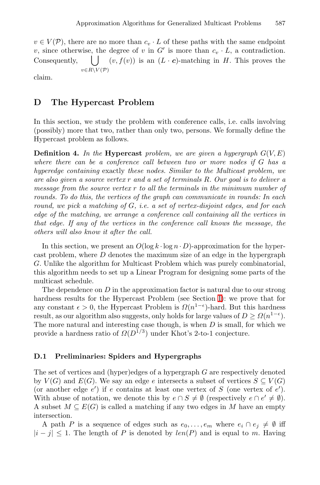<span id="page-19-0"></span> $v \in V(\mathcal{P})$ , there are no more than  $c_v \cdot L$  of these paths with the same endpoint v, since otherwise, the degree of v in G' is more than  $c_v \cdot L$ , a contradiction. Consequently,  $\bigcup$   $(v, f(v))$  is an  $(L \cdot c)$ -matching in *H*. This proves the  $v \in R \backslash V(\mathcal{P})$ 

claim.

### **D The Hypercast Problem**

In this section, we study the problem with conference calls, i.e. calls involving (possibly) more that two, rather than only two, persons. We formally define the Hypercast problem as follows.

**Definition 4.** In the **Hypercast** problem, we are given a hypergraph  $G(V, E)$ *where there can be a conference call between two or more nodes if* G *has a hyperedge containing* exactly *these nodes. Similar to the Multicast problem, we are also given a source vertex* r *and a set of terminals* R*. Our goal is to deliver a message from the source vertex* r *to all the terminals in the minimum number of rounds. To do this, the vertices of the graph can communicate in rounds: In each round, we pick a matching of* G*, i.e. a set of vertex-disjoint edges, and for each edge of the matching, we arrange a conference call containing all the vertices in that edge. If any of the vertices in the conference call knows the message, the others will also know it after the call.*

In this section, we present an  $O(\log k \cdot \log n \cdot D)$ -approximation for the hypercast problem, where  $D$  denotes the maximum size of an edge in the hypergraph G. Unlike the algorithm for Multicast Problem which was purely combinatorial, this algorithm needs to set up a Linear Program for designing some parts of the multicast schedule.

The dependence on  $D$  in the approximation factor is natural due to our strong hardness results for the Hypercast Problem (see Section I): we prove that for any constant  $\epsilon > 0$ , the Hypercast Problem is  $\Omega(n^{1-\epsilon})$ -hard. But this hardness result, as our algorithm also suggests, only holds for large values of  $D \geq \Omega(n^{1-\epsilon})$ . The more natural and interesting case though, is when  $D$  is small, for which we provide a hardness ratio of  $\Omega(D^{1/3})$  under Khot's 2-to-1 conjecture.

### **D.1 Preliminaries: Spiders and Hypergraphs**

The set of vertices and (hyper)edges of a hypergraph G are respectively denoted by  $V(G)$  and  $E(G)$ . We say an edge e intersects a subset of vertices  $S \subseteq V(G)$ (or another edge  $e'$ ) if e contains at least one vertex of S (one vertex of  $e'$ ). With abuse of notation, we denote this by  $e \cap S \neq \emptyset$  (respectively  $e \cap e' \neq \emptyset$ ). A subset  $M \subseteq E(G)$  is called a matching if any two edges in M have an empty intersection.

A path P is a sequence of edges such as  $e_0, \ldots, e_m$  where  $e_i \cap e_j \neq \emptyset$  iff  $|i - j| \leq 1$ . The length of P is denoted by  $len(P)$  and is equal to m. Having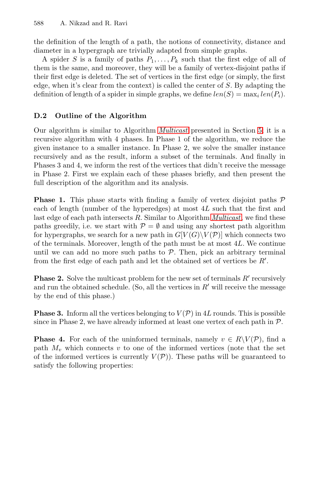the definition of the length of a path, the notions of connectivity, distance and diameter in a hypergraph are trivially adapted from simple graphs.

A spider S is a fa[mily of pa](#page-7-0)ths  $P_1, \ldots, P_k$  such that the first edge of all of them is the same, and moreover, they will be a famil[y](#page-4-0) [o](#page-4-0)f vertex-disjoint paths if their first edge is deleted. The set of vertices in the first edge (or simply, the first edge, when it's clear from the context) is called the center of  $S$ . By adapting the definition of length of a spider in simple graphs, we define  $len(S) = max_i len(P_i)$ .

### **D.2 Outline of the Algorithm**

Our algorithm is similar to Algorithm *Multicast* presented in Section 5; it is a recursive algorithm with 4 phases. In Phase 1 of the algorithm, we reduce the given instance to a smaller instance. [In Phase 2](#page-7-0), we solve the smaller instance recursively and as the result, inform a subset of the terminals. And finally in Phases 3 and 4, we inform the rest of the vertices that didn't receive the message in Phase 2. First we explain each of these phases briefly, and then present the full description of the algorithm and its analysis.

**Phase 1.** This phase starts with finding a family of vertex disjoint paths  $\mathcal{P}$ each of length (number of the hyperedges) at most 4L such that the first and last edge of each path intersects R. Similar to Algorithm *Multicast*, we find these paths greedily, i.e. we start with  $P = \emptyset$  and using any shortest path algorithm for hypergraphs, we search for a new path in  $G[V(G)\setminus V(\mathcal{P})]$  which connects two of the terminals. Moreover, length of the path must be at most 4L. We continue until we can add no more such paths to  $P$ . Then, pick an arbitrary terminal from the first edge of each path and let the obtained set of vertices be  $R'$ .

**Phase 2.** Solve the multicast problem for the new set of terminals  $R'$  recursively and run the obtained schedule. (So, all the vertices in  $R'$  will receive the message by the end of this phase.)

**Phase 3.** Inform all the vertices belonging to  $V(\mathcal{P})$  in 4L rounds. This is possible since in Phase 2, we have already informed at least one vertex of each path in  $P$ .

**Phase 4.** For each of the uninformed terminals, namely  $v \in R \backslash V(\mathcal{P})$ , find a path  $M_v$  which connects v to one of the informed vertices (note that the set of the informed vertices is currently  $V(\mathcal{P})$ . These paths will be guaranteed to satisfy the following properties: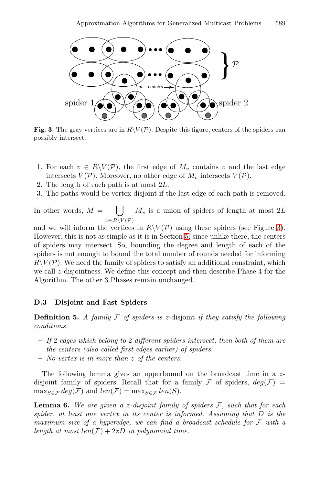<span id="page-21-0"></span>

**Fig. 3.** The gray vertices are in  $R\setminus V(\mathcal{P})$ . Despite this figure, centers of the spiders can possibly intersect.

- 1. For each  $v \in R \backslash V(\mathcal{P})$  $v \in R \backslash V(\mathcal{P})$ , t[he](#page-4-0) first edge of  $M_v$  contains v and the last edge intersects  $V(\mathcal{P})$ . Moreover, no other edge of  $M_v$  intersects  $V(\mathcal{P})$ .
- 2. The length of each path is at most 2L.
- 3. The paths would be vertex disjoint if the last edge of each path is removed.

In other words,  $M =$  $v\in R\backslash V(\mathcal{P})$  $M_v$  is a union of spiders of length at most 2L

<span id="page-21-1"></span>and we will inform the vertices in  $R\setminus V(\mathcal{P})$  using these spiders (see Figure 3). However, this is not as simple as it is in Section 5, since unlike there, the centers of spiders may intersect. So, bounding the degree and length of each of the spiders is not enough to bound the total number of rounds needed for informing  $R\backslash V(\mathcal{P})$ . We need the family of spiders to satisfy an additional constraint, which we call z-disjointness. We define this concept and then describe Phase 4 for the Algorithm. The other 3 Phases remain unchanged.

# **D.3 Disjoint and Fast Spiders**

**Definition 5.** *A family* F *of spiders is* z-disjoint *if they satisfy the following conditions.*

- **–** *If* 2 *edges which belong to* 2 *different spiders intersect, then both of them are the centers (also called first edges earlier) of spiders.*
- **–** *No vertex is in more than* z *of the centers.*

The following lemma gives an upperbound on the broadcast time in a zdisjoint family of spiders. Recall that for a family F of spiders,  $deg(F)$  =  $\max_{S \in \mathcal{F}} deg(\mathcal{F})$  and  $len(\mathcal{F}) = \max_{S \in \mathcal{F}} len(S)$ .

**Lemma 6.** *We are given a* z*-disjoint family of spiders* F*, such that for each spider, at least one vertex in its center is informed. Assuming that* D *is the maximum size of a hyperedge, we can find a broadcast schedule for* F *with a length at most*  $len(\mathcal{F}) + 2zD$  *in polynomial time.*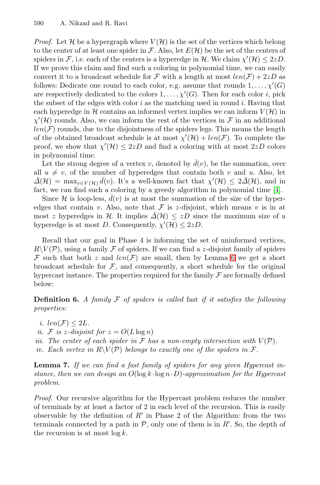*Proof.* Let H be a hypergraph where  $V(\mathcal{H})$  is the set of the vertices which belong to the center of at least one spider in  $\mathcal F$ . Also, let  $E(\mathcal H)$  be the set of the centers of spiders in F, i.e. each of the centers is a hyperedge in H. We claim  $\chi'(\mathcal{H}) \leq 2zD$ . If we prove this claim and find such a coloring in polynomial time, we can easily convert it to a broadcast schedule for F with a length at most  $len(\mathcal{F})+2zD$  as follows: Dedicate one round to each color, e.g. assume that rounds  $1, \ldots, \chi'(G)$ are respectively dedicated to the colors  $1, \ldots, \chi'(G)$ . Then for each color i, pick the subset of the edges with color  $i$  as the matching used in round  $i$ . Having that each hyperedge in  $H$  contains an informed vertex implies we can inform  $V(H)$  in  $\chi'(\mathcal{H})$  rounds. Also, we can [in](#page-13-4)form the rest of the vertices in F in an additional  $len(\mathcal{F})$  rounds, due to the disjointness of the spiders legs. This means the length of the obtained broadcast schedule is at most  $\chi'(\mathcal{H}) + len(\mathcal{F})$ . To complete the proof, we show that  $\chi'(\mathcal{H}) \leq 2zD$  and find a coloring with at most  $2zD$  colors in polynomial time.

Let the strong degree of a vertex v, denoted by  $\bar{d}(v)$ , be the summation, over all  $u \neq v$ , of the number of hyperedges that contain both v and u. Also, let  $\bar{\mathcal{A}}(\mathcal{H}) = \max_{v \in V(\mathcal{H})} \bar{d}(v)$ . It's a well-known fact that  $\chi'(\mathcal{H}) \leq 2\bar{\mathcal{A}}(\mathcal{H})$ , and in fact, we can find such a coloring by a greed[y a](#page-21-1)lgorithm in polynomial time [4].

Since  $\mathcal H$  is loop-less,  $\bar d(v)$  is at most the summation of the size of the hyperedges that contain v. Also, note that  $\mathcal F$  is z-disjoint, which means v is in at most z hyperedges in H. It implies  $\overline{\Delta}(\mathcal{H}) \leq zD$  since the maximum size of a hyperedge is at most D. Consequently,  $\chi'(\mathcal{H}) \leq 2zD$ .

Recall that our goal in Phase 4 is informing the set of uninformed vertices,  $R\setminus V(\mathcal{P})$ , using a family F of spiders. If we can find a z-disjoint family of spiders F such that both z and  $len(F)$  are small, then by Lemma 6 we get a short broadcast schedule for  $\mathcal{F}$ , and consequently, a short schedule for the original hypercast instance. The properties required for the family  $\mathcal F$  are formally defined below:

**Definition 6.** *A family*  $\mathcal F$  *of spiders is called* fast *if it satisfies the following properties:*

- *i.*  $len(\mathcal{F}) \leq 2L$ .
- *ii.* F is z-disjoint for  $z = O(L \log n)$
- *iii.* The center of each spider in  $\mathcal F$  has a non-empty intersection with  $V(\mathcal P)$ *.*
- *iv.* Each vertex in  $R\setminus V(\mathcal{P})$  belongs to exactly one of the spiders in  $\mathcal{F}$ .

**Lemma 7.** *If we can find a fast family of spiders for any given Hypercast instance, then we can design an* O(log k ·log n·D)*-approximation for the Hypercast problem.*

*Proof.* Our recursive algorithm for the Hypercast problem reduces the number of terminals by at least a factor of 2 in each level of the recursion. This is easily observable by the definition of  $R'$  in Phase 2 of the Algorithm: from the two terminals connected by a path in  $P$ , only one of them is in  $R'$ . So, the depth of the recursion is at most  $\log k$ .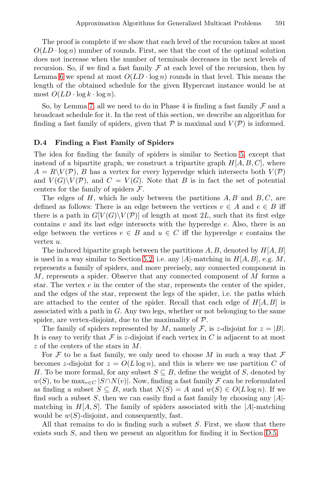The proof is complete if we show that each level of the recursion takes at most  $O(LD \cdot \log n)$  number of rounds. First, see that the cost of the optimal solution does not increase when the number of terminals decreases in the next levels of recursion. So, if we find a fast family  $\mathcal F$  at each level of the recursion, then by Lemma 6 we spend at most  $O(LD \cdot \log n)$  rounds in that level. This means the length of the obtained schedule for the given [H](#page-4-0)ypercast instance would be at most  $O(LD \cdot \log k \cdot \log n)$ .

So, by Lemma 7, all we need to do in Phase 4 is finding a fast family  $\mathcal F$  and a broadcast schedule for it. In the rest of this section, we describe an algorithm for finding a fast family of spiders, given that  $P$  is maximal and  $V(P)$  is informed.

#### **D.4 Finding a Fast Family of Spiders**

The idea for finding the family of spiders is similar to Section 5, except that instead of a bipartite graph, we construct a tripartite graph  $H[A, B, C]$ , where  $A = R\backslash V(\mathcal{P})$ , B has a vertex for every hyperedge which intersects both  $V(\mathcal{P})$ and  $V(G)\backslash V(\mathcal{P})$ , and  $C = V(G)$ . Note that B is in fact the set of potential centers for the f[amil](#page-5-0)y of spiders  $\mathcal{F}$ .

The edges of  $H$ , which lie only between the partitions  $A, B$  and  $B, C$ , are defined as follows: There is an edge between the vertices  $v \in A$  and  $e \in B$  iff there is a path in  $G[V(G)\setminus V(\mathcal{P})]$  of length at most 2L, such that its first edge contains  $v$  and its last edge intersects with the hyperedge  $e$ . Also, there is an edge between the vertices  $e \in B$  and  $u \in C$  iff the hyperedge e contains the vertex u.

The induced bipartite graph between the partitions  $A, B$ , denoted by  $H[A, B]$ is used in a way similar to Section 5.2, i.e. any |A|-matching in  $H[A, B]$ , e.g. M, represents a family of spiders, and more precisely, any connected component in M, represents a spider. Observe that any connected component of M forms a star. The vertex  $e$  in the center of the star, represents the center of the spider, and the edges of the star, represent the legs of the spider, i.e. the paths which are attached to the center of the spider. Recall that each edge of  $H[A, B]$  is associated with a path in  $G$ . Any two legs, whether or not belonging to the same spider, are vertex-disjoint, due to the maximality of  $P$ .

<span id="page-23-0"></span>The family of spiders represented by M, namely F, is z-disjoint for  $z = |B|$ . It is easy to verify that  $\mathcal F$  is z-disjoint if each vertex in C is adjacent to at most z of the centers of the stars in M.

For  $F$  to be a fast family, we only need to choose M in such a way that  $F$ becomes z-disjoint for  $z = O(L \log n)$ , and this is whe[re w](#page-24-0)e use partition C of H. To be more formal, for any subset  $S \subseteq B$ , define the weight of S, denoted by  $w(S)$ , to be max<sub>v∈C</sub>  $|S \cap N(v)|$ . Now, finding a fast family F can be reformulated as finding a subset  $S \subseteq B$ , such that  $N(S) = A$  and  $w(S) \in O(L \log n)$ . If we find such a subset  $S$ , then we can easily find a fast family by choosing any  $|A|$ matching in  $H[A, S]$ . The family of spiders associated with the  $|A|$ -matching would be  $w(S)$ -disjoint, and consequently, fast.

All that remains to do is finding such a subset  $S$ . First, we show that there exists such S, and then we present an algorithm for finding it in Section D.5.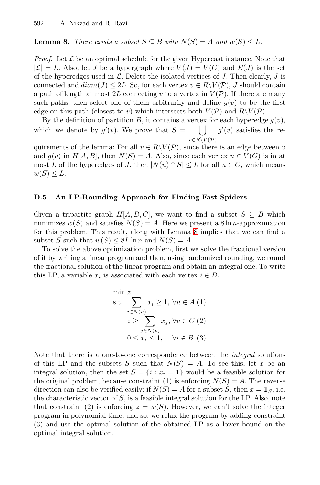**Lemma 8.** *There exists a subset*  $S \subseteq B$  *with*  $N(S) = A$  *and*  $w(S) \leq L$ *.* 

<span id="page-24-0"></span>*Proof.* Let  $\mathcal L$  be an optimal schedule for the given Hypercast instance. Note that  $|\mathcal{L}| = L$ . Also, let J be a hypergraph where  $V(J) = V(G)$  and  $E(J)$  is the set of the hyperedges used in  $\mathcal{L}$ . Delete the isolated vertices of J. Then clearly, J is connected and  $diam(J) \leq 2L$ . So, for each vertex  $v \in R \backslash V(\mathcal{P})$ , J should contain a path of length at most 2L connecting v to a vertex in  $V(\mathcal{P})$ . If there are many such paths, then select one of them arbitrarily and define  $g(v)$  to be the first edge on this path (closest to v) which intersects both  $V(\mathcal{P})$  and  $R\backslash V(\mathcal{P})$ .

By the definition of partition B, it contains a vertex for each hyperedge  $g(v)$ , which we denote by  $g'(v)$ . We prove that  $S = \begin{bmatrix} 1 \end{bmatrix}$  $v\in R\backslash V(\mathcal{P})$  $g'(v)$  satisfies the re-

quirements of the lemma: For all  $v \in R \backslash V(\mathcal{P})$ , since there is an edge between v and  $q(v)$  in  $H[A, B]$ , then  $N(S) = A$ . Also, since each vertex  $u \in V(G)$  is in at most L of [the](#page-23-0) hyperedges of J, then  $|N(u) \cap S| \leq L$  for all  $u \in C$ , which means  $w(S) \leq L$ .

### **D.5 An LP-Rounding Approach for Finding Fast Spiders**

Given a tripartite graph  $H[A, B, C]$ , we want to find a subset  $S \subseteq B$  which minimizes  $w(S)$  and satisfies  $N(S) = A$ . Here we present a  $8 \ln n$ -approximation for this problem. This result, along with Lemma 8 implies that we can find a subset S such that  $w(S) \leq 8L \ln n$  and  $N(S) = A$ .

To solve the above optimization problem, first we solve the fractional version of it by writing a linear program and then, using randomized rounding, we round the fractional solution of the linear program and obtain an integral one. To write this LP, a variable  $x_i$  is associated with each vertex  $i \in B$ .

$$
\min z
$$
\n
$$
z \leq \sum_{i \in N(u)} x_i \geq 1, \forall u \in A \ (1)
$$
\n
$$
z \geq \sum_{j \in N(v)} x_j, \forall v \in C \ (2)
$$
\n
$$
0 \leq x_i \leq 1, \quad \forall i \in B \ (3)
$$

Note that there is a one-to-one correspondence between the *integral* solutions of this LP and the subsets S such that  $N(S) = A$ . To see this, let x be an integral solution, then the set  $S = \{i : x_i = 1\}$  would be a feasible solution for the original problem, because constraint (1) is enforcing  $N(S) = A$ . The reverse direction can also be verified easily: if  $N(S) = A$  for a subset S, then  $x = \mathbb{1}_S$ , i.e. the characteristic vector of  $S$ , is a feasible integral solution for the LP. Also, note that constraint (2) is enforcing  $z = w(S)$ . However, we can't solve the integer program in polynomial time, and so, we relax the program by adding constraint (3) and use the optimal solution of the obtained LP as a lower bound on the optimal integral solution.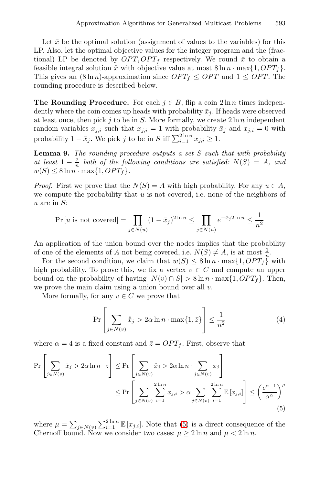Let  $\bar{x}$  be the optimal solution (assignment of values to the variables) for this LP. Also, let the optimal objective values for the integer program and the (fractional) LP be denoted by  $OPT, OPT_f$  respectively. We round  $\bar{x}$  to obtain a feasible integral solution  $\mathring{x}$  with objective value at most  $8 \ln n \cdot \max\{1, OPT_f\}.$ This gives an  $(8 \ln n)$ -approximation since  $OPT_f \leq OPT$  and  $1 \leq OPT$ . The rounding procedure is described below.

<span id="page-25-0"></span>**The Rounding Procedure.** For each  $j \in B$ , flip a coin  $2 \ln n$  times independently where the coin comes up heads with probability  $\bar{x}_i$ . If heads were observed at least once, then pick j to be in S. More formally, we create  $2 \ln n$  independent random variables  $x_{j,i}$  such that  $x_{j,i} = 1$  with probability  $\bar{x}_j$  and  $x_{j,i} = 0$  with probability  $1 - \bar{x}_j$ . We pick j to be in S iff  $\sum_{i=1}^{2 \ln n} x_{j,i} \geq 1$ .

**Lemma 9.** *The rounding procedure outputs a set* S *such that with probability at least*  $1 - \frac{2}{n}$  *both of the following conditions are satisfied:*  $N(S) = A$ *, and*  $w(S) \le 8 \ln n \cdot \max\{1, OPT_f\}.$ 

*Proof.* First we prove that the  $N(S) = A$  with high probability. For any  $u \in A$ , we compute the probability that  $u$  is not covered, i.e. none of the neighbors of  $u$  are in  $S$ :

$$
\Pr[u \text{ is not covered}] = \prod_{j \in N(u)} (1 - \bar{x}_j)^{2 \ln n} \le \prod_{j \in N(u)} e^{-\bar{x}_j 2 \ln n} \le \frac{1}{n^2}
$$

An application of the union bound over the nodes implies that the probability of one of the elements of A not being covered, i.e.  $N(S) \neq A$ , is at most  $\frac{1}{n}$ .

For the second condition, we claim that  $w(S) \leq 8 \ln n \cdot \max\{1, OPT_f\}$  with high probability. To prove this, we fix a vertex  $v \in C$  and compute an upper bound on the probability of having  $|N(v) \cap S| > 8 \ln n \cdot \max\{1, OPT_f\}$ . Then, we prove the main claim using a union bound over all  $v$ .

More formally, for any  $v \in C$  we prove that

$$
\Pr\left[\sum_{j\in N(v)}\hat{x}_j > 2\alpha \ln n \cdot \max\{1, \bar{z}\}\right] \le \frac{1}{n^2} \tag{4}
$$

where  $\alpha = 4$  is a fixed constant and  $\bar{z} = OPT_f$ . First, observe that

$$
\Pr\left[\sum_{j\in N(v)} \hat{x}_j > 2\alpha \ln n \cdot \bar{z}\right] \le \Pr\left[\sum_{j\in N(v)} \hat{x}_j > 2\alpha \ln n \cdot \sum_{j\in N(v)} \bar{x}_j\right] \\
\le \Pr\left[\sum_{j\in N(v)} \sum_{i=1}^{2\ln n} x_{j,i} > \alpha \sum_{j\in N(v)} \sum_{i=1}^{2\ln n} \mathbb{E}\left[x_{j,i}\right]\right] \le \left(\frac{e^{\alpha-1}}{\alpha^{\alpha}}\right)^{\mu} \\
\tag{5}
$$

where  $\mu = \sum_{j \in N(v)} \sum_{i=1}^{2\ln n} \mathbb{E}[x_{j,i}]$ . Note that (5) is a direct consequence of the Chernoff bound. Now we consider two cases:  $\mu \geq 2 \ln n$  and  $\mu < 2 \ln n$ .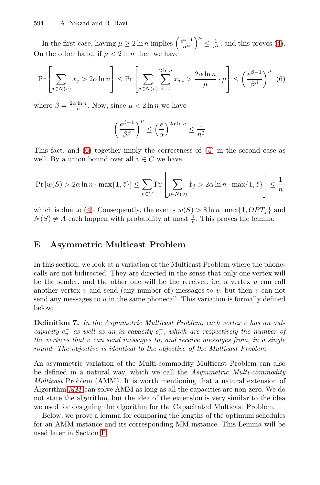In the first case, having  $\mu \geq 2 \ln n$  implies  $\left(\frac{e^{\alpha-1}}{\alpha^{\alpha}}\right)^{\mu} \leq \frac{1}{n^2}$ , and this proves (4). On the other hand, if  $\mu < 2 \ln n$  then we have

$$
\Pr\left[\sum_{j\in N(v)}\hat{x}_j > 2\alpha \ln n\right] \le \Pr\left[\sum_{j\in N(v)}\sum_{i=1}^{2\ln n}x_{j,i} > \frac{2\alpha \ln n}{\mu} \cdot \mu\right] \le \left(\frac{e^{\beta-1}}{\beta^{\beta}}\right)^{\mu} \tag{6}
$$

<span id="page-26-0"></span>where  $\beta = \frac{2\alpha \ln n}{\mu}$ . Now, since  $\mu < 2 \ln n$  we have

$$
\left(\frac{e^{\beta-1}}{\beta^{\beta}}\right)^{\mu}\leq \left(\frac{e}{\alpha}\right)^{2\alpha\ln n}\leq \frac{1}{n^2}
$$

This fact, and (6) together imply the correctness of (4) in the second case as well. By a union bound over all  $v \in C$  we have

$$
\Pr\left[w(S) > 2\alpha \ln n \cdot \max\{1, \bar{z}\}\right] \le \sum_{v \in C} \Pr\left[\sum_{j \in N(v)} \hat{x}_j > 2\alpha \ln n \cdot \max\{1, \bar{z}\}\right] \le \frac{1}{n}
$$

which is due to (4). Consequently, the events  $w(S) > 8 \ln n \cdot \max\{1, OPT_f\}$  and  $N(S) \neq A$  each happen with probability at most  $\frac{1}{n}$ . This proves the lemma.

# **E Asymmetric Multicast Problem**

In this section, we look at a variation of the Multicast Problem where the phonecalls are not bidirected. They are directed in the sense that only one vertex will be the sender, and the other one will be the receiver, i.e. a vertex  $u$  can call another vertex v and send (any number of) messages to v, but then v can not send any messages to  $u$  in the same phonecall. This variation is formally defined below:

**Definition 7.** *In the Asymmetric Multicast Problem, each vertex* v *has an outcapacity*  $c_v^-$  *as well as an in-capacity*  $c_v^+$ , *which are respectively the number of the vertices that* v *can send messages to, and receive messages from, in a single round. The objective is identical to the objective of the Multicast Problem.*

An [a](#page-27-0)symmetric variation of the Multi-commodity Multicast Problem can also be defined in a natural way, which we call the *Asymmetric Multi-commodity Multicast* Problem (AMM). It is worth mentioning that a natural extension of Algorithm *MM* can solve AMM as long as all the capacities are non-zero. We do not state the algorithm, but the idea of the extension is very similar to the idea we used for designing the algorithm for the Capacitated Multicast Problem.

Below, we prove a lemma for comparing the lengths of the optimum schedules for an AMM instance and its corresponding MM instance. This Lemma will be used later in Section F.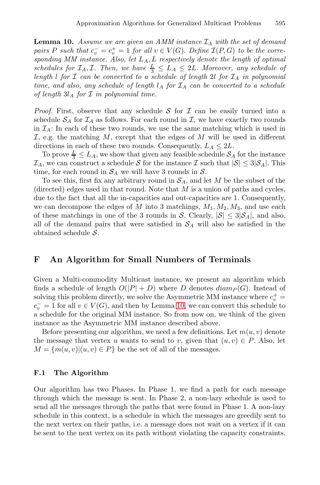**Lemma 10.** *Assume we are given an AMM instance*  $\mathcal{I}_A$  *with the set of demand pairs* P such that  $c_v^- = c_v^+ = 1$  *for all*  $v \in V(G)$ *. Define*  $\mathcal{I}(P, G)$  *to be the corresponding MM instance. Also, let* LA, L *respectively denote the length of optimal* schedules for  $\mathcal{I}_A, \mathcal{I}$ . Then, we have  $\frac{L}{3} \leq L_A \leq 2L$ . Moreover, any schedule of *length* l *for* I *can be converted to a schedule of length* 2l *for* I<sup>A</sup> *in polynomial time, and also, any schedule of length*  $l_A$  *for*  $I_A$  *can be converted to a schedule of length* 3l<sup>A</sup> *for* I *in polynomial time.*

<span id="page-27-0"></span>*Proof.* First, observe that any schedule  $S$  for  $I$  can be easily turned into a schedule  $S_A$  for  $\mathcal{I}_A$  as follows. For each round in  $\mathcal{I}$ , we have exactly two rounds in  $\mathcal{I}_A$ : In each of these two rounds, we use the same matching which is used in  $I$ , e.g. the matching M, except that the edges of M will be used in different directions in each of these two rounds. Consequently,  $L_A \leq 2L$ .

To prove  $\frac{L}{3} \leq L_A$ , we show that given any feasible schedule  $S_A$  for the instance  $\mathcal{I}_A$ , we can construct a schedule S for the instance I such that  $|\mathcal{S}| \leq 3|\mathcal{S}_A|$ . This time, for each round in  $S_A$  we will have 3 rounds in S.

To see this, first fix any arbitrary round in  $S_A$ , and let M be the subset of the (directed) edges used in that round. Note that  $M$  is a union of paths and cycles, due to the fact that all the in-capacities and out-capacities are 1. Consequently, we can decompose the edges of M into 3 matchings,  $M_1, M_2, M_3$ , and use each of these matchings in one of the 3 rounds in S. Clearly,  $|S| \leq 3|\mathcal{S}_A|$ , and also, all of the demand pairs that were satisfied in  $S_A$  will also be satisfied in the obtained schedule S.

# **F An Algorithm for Small Numbers of Terminals**

Given a Multi-commodity Multicast instance, we present an algorithm which finds a schedule of length  $O(|P| + D)$  where D denotes  $diam_P(G)$ . Instead of solving this problem directly, we solve the Asymmetric MM instance where  $c_v^+$  =  $c_v^- = 1$  for all  $v \in V(G)$ , and then by Lemma 10, we can convert this schedule to a schedule for the original MM instance. So from now on, we think of the given instance as the Asymmetric MM instance described above.

Before presenting our algorithm, we need a few definitions. Let  $m(u, v)$  denote the message that vertex u wants to send to v, given that  $(u, v) \in P$ . Also, let  $M = \{m(u, v) | (u, v) \in P\}$  be the set of all of the messages.

### **F.1 The Algorithm**

Our algorithm has two Phases. In Phase 1, we find a path for each message through which the message is sent. In Phase 2, a non-lazy schedule is used to send all the messages through the paths that were found in Phase 1. A non-lazy schedule in this context, is a schedule in which the messages are greedily sent to the next vertex on their paths, i.e. a message does not wait on a vertex if it can be sent to the next vertex on its path without violating the capacity constraints.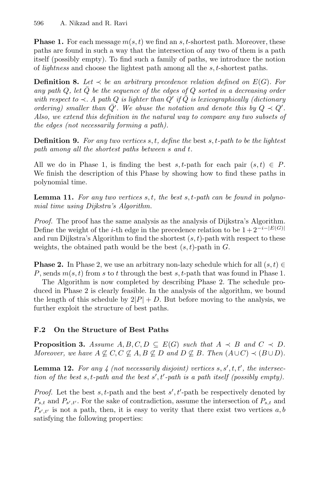**Phase 1.** For each message  $m(s,t)$  we find an s, t-shortest path. Moreover, these paths are found in such a way that the intersection of any two of them is a path itself (possibly empty). To find such a family of paths, we introduce the notion of *lightness* and choose the lightest path among all the s, t-shortest paths.

**Definition 8.** Let  $\prec$  be an arbitrary precedence relation defined on  $E(G)$ . For any path  $Q$ , let  $\overline{Q}$  be the sequence of the edges of  $Q$  sorted in a decreasing order *with respect to*  $\prec$ . A path Q *is lighter than* Q' *if*  $\overline{Q}$  *is lexicographically (dictionary ordering)* smaller than  $\overline{Q'}$ . We abuse the notation and denote this by  $Q \prec Q'$ . *Also, we extend this definition in the natural way to compare any two subsets of the edges (not necessarily forming a path).*

**Definition 9.** *For any two vertices* s, t*, define the* best s, t*-path to be the lightest path among all the shortest paths between* s *and* t*.*

All we do in Phase 1, is finding the best s, t-path for each pair  $(s, t) \in P$ . We finish the description of this Phase by showing how to find these paths in polynomial time.

**Lemma 11.** *For any two vertices* s, t*, the best* s, t*-path can be found in polynomial time using Dijkstra's Algorithm.*

*Proof.* The proof has the same analysis as the analysis of Dijkstra's Algorithm. Define the weight of the *i*-th edge in the precedence relation to be  $1 + 2^{-i-|E(G)|}$ and run Dijkstra's Algorithm to find the shortest  $(s, t)$ -path with respect to these weights, the obtained path would be the best  $(s, t)$ -path in G.

**Phase 2.** In Phase 2, we use an arbitrary non-lazy schedule which for all  $(s, t) \in$ P, sends  $m(s, t)$  from s to t through the best s, t-path that was found in Phase 1.

<span id="page-28-1"></span><span id="page-28-0"></span>The Algorithm is now completed by describing Phase 2. The schedule produced in Phase 2 is clearly feasible. In the analysis of the algorithm, we bound the length of this schedule by  $2|P| + D$ . But before moving to the analysis, we further exploit the structure of best paths.

# **F.2 On the Structure of Best Paths**

**Proposition 3.** Assume  $A, B, C, D \subseteq E(G)$  such that  $A \prec B$  and  $C \prec D$ . *Moreover, we have*  $A \nsubseteq C$ ,  $C \nsubseteq A$ ,  $B \nsubseteq D$  *and*  $D \nsubseteq B$ *. Then*  $(A \cup C) \prec (B \cup D)$ *.* 

**Lemma 12.** For any  $\frac{1}{4}$  (not necessarily disjoint) vertices  $s, s', t, t'$ , the intersec*tion of the best* s, t*-path and the best* s , t *-path is a path itself (possibly empty).*

*Proof.* Let the best  $s, t$ -path and the best  $s', t'$ -path be respectively denoted by  $P_{s,t}$  and  $P_{s',t'}$ . For the sake of contradiction, assume the intersection of  $P_{s,t}$  and  $P_{s',t'}$  is not a path, then, it is easy to verity that there exist two vertices a, b satisfying the following properties: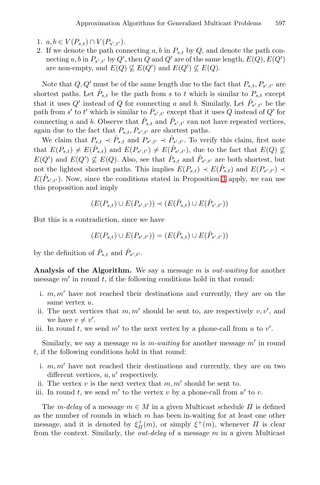- 1.  $a, b \in V(P_{s,t}) \cap V(P_{s',t'}).$
- 2. If we denote the path connecting  $a, b$  in  $P_{s,t}$  by  $Q$ , and denote the path connecting a, b in  $P_{s',t'}$  by  $Q'$ , then  $Q$  and  $Q'$  are of the same length,  $E(Q), E(Q')$ are non-empty, and  $E(Q) \not\subseteq E(Q')$  and  $E(Q') \not\subseteq E(Q)$ .

Note that  $Q, Q'$  must be of the same length due to the fact that  $P_{s,t}, P_{s',t'}$  are shortest paths. Let  $P_{s,t}$  be the path from s to t which is similar to  $P_{s,t}$  except that it uses  $Q'$  instead of Q for connecting a and b. Similarly, Let  $\hat{P}_{s',t'}$  be the path from s' to t' which is similar to  $P_{s',t'}$  [e](#page-28-0)xcept that it uses Q instead of Q' for connecting a and b. Observe that  $\hat{P}_{s,t}$  and  $\hat{P}_{s',t'}$  can not have repeated vertices, again due to the fact that  $P_{s,t}, P_{s',t'}$  are shortest paths.

We claim that  $P_{s,t} \prec \hat{P}_{s,t}$  and  $P_{s',t'} \prec \hat{P}_{s',t'}$ . To verify this claim, first note that  $E(P_{s,t}) \neq E(\hat{P}_{s,t})$  and  $E(P_{s',t'}) \neq E(\hat{P}_{s',t'})$ , due to the fact that  $E(Q) \nsubseteq$  $E(Q')$  and  $E(Q') \nsubseteq E(Q)$ . Also, see that  $\hat{P}_{s,t}$  and  $\hat{P}_{s',t'}$  are both shortest, but not the lightest shortest paths. This implies  $E(P_{s,t}) \prec E(\hat{P}_{s,t})$  and  $E(P_{s',t'}) \prec$  $E(\hat{P}_{s',t'})$ . Now, since the conditions stated in Proposition 3 apply, we can use this proposition and imply

$$
(E(P_{s,t}) \cup E(P_{s',t'})) \prec (E(\hat{P}_{s,t}) \cup E(\hat{P}_{s',t'}))
$$

But this is a contradiction, since we have

$$
(E(P_{s,t}) \cup E(P_{s',t'})) = (E(\hat{P}_{s,t}) \cup E(\hat{P}_{s',t'}))
$$

by the definition of  $\hat{P}_{s,t}$  and  $\hat{P}_{s',t'}$ .

**Analysis of the Algorithm.** We say a message m is *out-waiting* for another message  $m'$  in round t, if the following conditions hold in that round:

- i.  $m, m'$  have not reached their destinations and currently, they are on the same vertex u.
- ii. The next vertices that  $m, m'$  should be sent to, are respectively  $v, v'$ , and we have  $v \neq v'$ .
- iii. In round t, we send  $m'$  to the next vertex by a phone-call from u to  $v'$ .

Similarly, we say a message  $m$  is *in-waiting* for another message  $m'$  in round t, if the following conditions hold in that round:

- i.  $m, m'$  have not reached their destinations and currently, they are on two different vertices,  $u, u'$  respectively.
- ii. The vertex v is the next vertex that  $m, m'$  should be sent to.
- iii. In round t, we send  $m'$  to the vertex v by a phone-call from  $u'$  to v.

The *in-delay* of a message  $m \in M$  in a given Multicast schedule  $\Pi$  is defined as the number of rounds in which  $m$  has been in-waiting for at least one other message, and it is denoted by  $\xi_{\Pi}^{+}(m)$ , or simply  $\xi^{+}(m)$ , whenever  $\Pi$  is clear from the context. Similarly, the *out-delay* of a message m in a given Multicast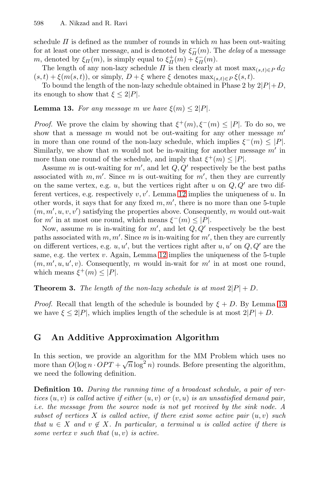<span id="page-30-1"></span>schedule  $\Pi$  is defined as the number of rounds in which m has been out-waiting for at least one other message, and is denoted by  $\xi_{\Pi}^-(m)$ . The *delay* of a message m, denoted by  $\xi_{\Pi}(m)$ , is simply equal to  $\xi_{\Pi}^+(m) + \xi_{\Pi}^-(m)$ .

The length of any non-lazy schedule  $\Pi$  is then clearly at most max $(s,t) \in P$  d<sub>G</sub>  $(s, t) + \xi(m(s, t))$ , or simply,  $D + \xi$  where  $\xi$  denotes  $\max_{(s,t) \in P} \xi(s, t)$ .

To bound the length of the non-lazy schedule obtained in Phase 2 by  $2|P|+D$ , its enough to show that  $\xi \leq 2|P|$ .

**Lemma 13.** *For any message* m *we have*  $\xi(m) \leq 2|P|$ *.* 

*Proof.* We prove the claim [by](#page-28-1) showing that  $\xi^+(m), \xi^-(m) \leq |P|$ . To do so, we show that a message m would not be out-waiting for any other message  $m'$ in more than one round of the non-lazy schedule, which implies  $\xi^-(m) \leq |P|$ . Similarly, we show that m would not be in-waiting for another message  $m'$  in more than one round of the schedule, and imply that  $\xi^+(m) < |P|$ .

<span id="page-30-2"></span>Assume m is out-waiting for  $m'$ , and let  $Q, Q'$  respectively be the best paths associated with  $m, m'$ . Since m is out-waiting for  $m'$ , then they are currently on the same vertex, [e.g.](#page-28-1) u, but the vertices right after u on  $Q, Q'$  are two different vertices, e.g. respectively  $v, v'$ . Lemma 12 implies the uniqueness of  $u$ . In other words, it says that for any fixed  $m, m'$ , there is no more than one 5-tuple  $(m, m', u, v, v')$  satisfying the properties above. Consequently, m would out-wait for m' in at most one round, which means  $\xi^-(m) \leq |P|$ .

<span id="page-30-0"></span>Now, assume m is in-waiting for  $m'$ , and let  $Q, Q'$  respectively be the best paths associated with  $m, m'$ . Since m is in-waiting for  $m'$ , t[hen](#page-30-1) they are currently on different vertices, e.g.  $u, u'$ , but the vertices right after  $u, u'$  on  $Q, Q'$  are the same, e.g. the vertex  $v$ . Again, Lemma 12 implies the uniqueness of the 5-tuple  $(m, m', u, u', v)$ . Consequently, m would in-wait for m' in at most one round, which means  $\xi^+(m) \leq |P|$ .

**Theorem 3.** *The length of the non-lazy schedule is at most*  $2|P| + D$ *.* 

*Proof.* Recall that length of the schedule is bounded by  $\xi + D$ . By Lemma 13 we have  $\xi \leq 2|P|$ , which implies length of the schedule is at most  $2|P| + D$ .

### **G An Additive Approximation Algorithm**

In this section, we provide an algorithm for the MM Problem which uses no more than  $O(\log n \cdot OPT + \sqrt{n} \log^2 n)$  rounds. Before presenting the algorithm, we need the following definition.

**Definition 10.** *During the running time of a broadcast schedule, a pair of vertices* (u, v) *is called* active *if either* (u, v) *or* (v, u) *is an unsatisfied demand pair, i.e. the message from the source node is not yet received by the sink node. A subset of vertices* X *is called active, if there exist some active pair* (u, v) *such that*  $u \in X$  and  $v \notin X$ . In particular, a terminal u is called active if there is *some vertex* v *such that* (u, v) *is active.*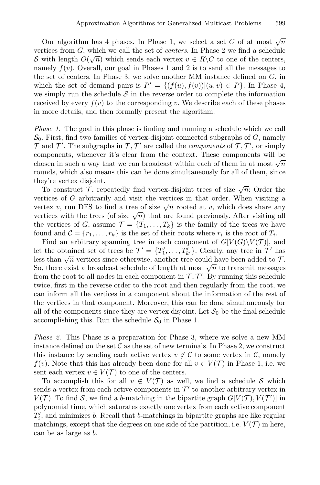Our algorithm has 4 phases. In Phase 1, we select a set C of at most  $\sqrt{n}$ vertices from G, which we call the set of *centers*. In Phase 2 we find a schedule S with length  $O(\sqrt{n})$  which sends each vertex  $v \in R \backslash C$  to one of the centers, namely  $f(v)$ . Overall, our goal in Phases 1 and 2 is to send all the messages to the set of centers. In Phase 3, we solve another MM instance defined on G, in which the set of demand pairs is  $P' = \{(f(u), f(v)) | (u, v) \in P\}$ . In Phase 4, we simply run the schedule  $S$  in the reverse order to complete the information received by every  $f(v)$  to the corresponding v. We describe each of these phases in more details, and then formally present the algorithm.

*Phase 1.* The goal in this phase is finding and running a schedule which we call  $S_0$ . First, find two families of vertex-disjoint connected subgraphs of G, namely  $\mathcal T$  and  $\mathcal T'$ . The subgraphs in  $\mathcal T, \mathcal T'$  are called the *components* of  $\mathcal T, \mathcal T'$ , or simply components, whenever it's clear from the context. These components will be chosen in such a way that we can broadcast within each of them in at most  $\sqrt{n}$ rounds, which also means this can be done simultaneously for all of them, since they're vertex disjoint.

To construct T, repeatedly find vertex-disjoint trees of size  $\sqrt{n}$ : Order the vertices of G arbitrarily and visit the vertices in that order. When visiting a vertex v, run DFS to find a tree of size  $\sqrt{n}$  rooted at v, which does share any vertices with the trees (of size  $\sqrt{n}$ ) that are found previously. After visiting all the vertices of G, assume  $\mathcal{T} = \{T_1, \ldots, T_k\}$  is the family of the trees we have found and  $\mathcal{C} = \{r_1, \ldots, r_k\}$  is the set of their roots where  $r_i$  is the root of  $T_i$ .

Find an arbitrary spanning tree in each component of  $G[V(G)\setminus V(\mathcal{T})]$ , and let the obtained set of trees be  $\mathcal{T}' = \{T'_1, \ldots, T'_{k'}\}$ . Clearly, any tree in  $\mathcal{T}'$  has less than  $\sqrt{n}$  vertices since otherwise, another tree could have been added to T. So, there exist a broadcast schedule of length at most  $\sqrt{n}$  to transmit messages from the root to all nodes in each component in  $\mathcal{T}, \mathcal{T}'$ . By running this schedule twice, first in the reverse order to the root and then regularly from the root, we can inform all the vertices in a component about the information of the rest of the vertices in that component. Moreover, this can be done simultaneously for all of the components since they are vertex disjoint. Let  $S_0$  be the final schedule accomplishing this. Run the schedule  $S_0$  in Phase 1.

*Phase 2.* This Phase is a preparation for Phase 3, where we solve a new MM instance defined on the set  $\mathcal C$  as the set of new terminals. In Phase 2, we construct this instance by sending each active vertex  $v \notin C$  to some vertex in C, namely  $f(v)$ . Note that this has already been done for all  $v \in V(\mathcal{T})$  in Phase 1, i.e. we sent each vertex  $v \in V(\mathcal{T})$  to one of the centers.

To accomplish this for all  $v \notin V(\mathcal{T})$  as well, we find a schedule S which sends a vertex from each active components in  $\mathcal{T}'$  to another arbitrary vertex in  $V(\mathcal{T})$ . To find S, we find a b-matching in the bipartite graph  $G[V(\mathcal{T}), V(\mathcal{T}')]$  in polynomial time, which saturates exactly one vertex from each active component  $T_i'$ , and minimizes b. Recall that b-matchings in bipartite graphs are like regular matchings, except that the degrees on one side of the partition, i.e.  $V(\mathcal{T})$  in here, can be as large as b.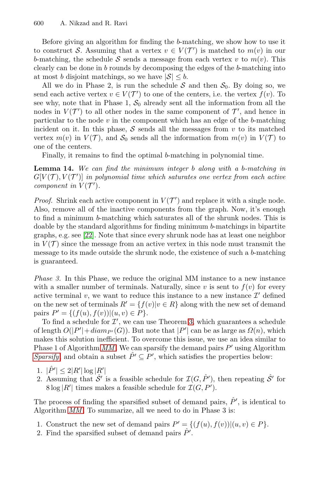Before giving an algorithm for finding the b-matching, we show how to use it to construct S. Assuming that a vertex  $v \in V(\mathcal{T}')$  is matched to  $m(v)$  in our b-matching, the schedule S sends a message from each vertex v to  $m(v)$ . This clearly can be done in b rounds by decomposing the edges of the b-matching into at most b disjoint matchings, so we have  $|S| \leq b$ .

All we do in Phase 2, is run the schedule S and then  $S_0$ . By doing so, we send each active vertex  $v \in V(\mathcal{T}')$  to one of the centers, i.e. the vertex  $f(v)$ . To see why, note that in Phase 1,  $S_0$  already sent all the information from all the nodes in  $V(\mathcal{T}')$  to all other nodes in the same component of  $\mathcal{T}'$ , and hence in particular to the node  $v$  in the component which has an edge of the  $b$ -matching incident on it. In this phase,  $S$  sends all the messages from  $v$  to its matched vertex  $m(v)$  in  $V(\mathcal{T})$ , and  $S_0$  sends all the information from  $m(v)$  in  $V(\mathcal{T})$  to one of the centers.

Finally, it remains to find the optimal b-matching in polynomial time.

**[L](#page-14-8)emma 14.** *We can find the minimum integer* b *along with a* b*-matching in*  $G[V(\mathcal{T}), V(\mathcal{T}')]$  in polynomial time which saturates one vertex from each active *component in*  $V(T')$ .

*Proof.* Shrink each active component in  $V(T')$  and replace it with a single node. Also, remove all of the inactive components from the graph. Now, it's enough to find a minimum b-matching which saturates all of the shrunk nodes. This is doable by the standard algorithms for finding minimum b-matchings in bipartite graphs, e.g. see [22]. Note that since every shrunk node has at least one neighbor in  $V(\mathcal{T})$  since the message from an active vertex in this node must transmit the message to its made outside th[e s](#page-30-2)hrunk node, the existence of such a b-matching is guaranteed.

*Ph[ase 3.](#page-10-1)* In this Phase, we reduce the original MM instance to a new instance with a smaller number of terminals. Naturally, since v is sent to  $f(v)$  for every active terminal v, we want to reduce this instance to a new instance  $\mathcal{I}'$  defined on the new set of terminals  $R' = \{f(v)|v \in R\}$  along with the new set of demand pairs  $P' = \{(f(u), f(v)) | (u, v) \in P\}.$ 

To find a schedule for  $\mathcal{I}'$ , we can use Theorem 3, which guarantees a schedule of length  $O(|P'| + diam_{P'}(G))$ . But note that  $|P'|$  can be as large as  $\Omega(n)$ , which makes this solution inefficient. To overcome this issue, we use an idea similar to Phase 1 of Algorithm  $MM$ . We can sparsify the demand pairs  $P'$  using Algorithm *Sparsify*, and obtain a subset  $\hat{P'} \subseteq P'$ , which satisfies the properties below:

- 1.  $|\hat{P}'| \leq 2|R'| \log |R'|$
- 2. Assuming that  $\hat{S}'$  is a feasible schedule for  $\mathcal{I}(G,\hat{P}')$ , then repeating  $\hat{S}'$  for  $8 \log |R'|$  times makes a feasible schedule for  $\mathcal{I}(G, P')$ .

The process of finding the sparsified subset of demand pairs,  $\hat{P}'$ , is identical to Algorithm *MM*. To summarize, all we need to do in Phase 3 is:

- 1. Construct the new set of demand pairs  $P' = \{(f(u), f(v)) | (u, v) \in P\}.$
- 2. Find the sparsified subset of demand pairs  $\hat{P}$ .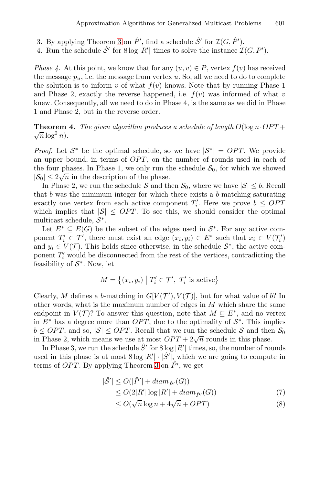- 3. By applying Theorem 3 on  $\hat{P}'$ , find a schedule  $\hat{\mathcal{S}}'$  for  $\mathcal{I}(G, \hat{P}')$ .
- 4. Run the schedule  $\hat{S}'$  for  $8 \log |R'|$  times to solve the instance  $\mathcal{I}(G, P')$ .

*Phase 4.* At this point, we know that for any  $(u, v) \in P$ , vertex  $f(v)$  has received the message  $p_u$ , i.e. the message from vertex u. So, all we need to do to complete the solution is to inform v of what  $f(v)$  knows. Note that by running Phase 1 and Phase 2, exactly the reverse happened, i.e.  $f(v)$  was informed of what v knew. Consequently, all we need to do in Phase 4, is the same as we did in Phase 1 and Phase 2, but in the reverse order.

**Theorem 4.** *The given algorithm produces a schedule of length*  $O(\log n \cdot OPT +$  $\sqrt{n} \log^2 n$ .

*Proof.* Let  $S^*$  be the optimal schedule, so we have  $|S^*| = OPT$ . We provide an upper bound, in terms of  $OPT$ , on the number of rounds used in each of the four phases. In Phase 1, we only run the schedule  $S_0$ , for which we showed  $|\mathcal{S}_0| \leq 2\sqrt{n}$  in the description of the phase.

In Phase 2, we run the schedule S and then  $S_0$ , where we have  $|S| \leq b$ . Recall that  $b$  was the minimum integer for which there exists a  $b$ -matching saturating exactly one vertex from each active component  $T_i'$ . Here we prove  $b \leq OPT$ which implies that  $|\mathcal{S}| \leq OPT$ . To see this, we should consider the optimal multicast schedule,  $S^*$ .

Let  $E^* \subseteq E(G)$  be the subset of the edges used in  $S^*$ . For any active component  $T'_i \in \mathcal{T}'$ , there must exist an edge  $(x_i, y_i) \in E^*$  such that  $x_i \in V(\mathcal{T}'_i)$ and  $y_i \in V(\mathcal{T})$ . This holds since otherwise, in the schedule  $\mathcal{S}^*$ , the active component  $T_i'$  would be disconnected from the rest of the vertices, contradicting the feasibility of  $S^*$ . Now, let

$$
M = \{(x_i, y_i) \mid T'_i \in \mathcal{T}', T'_i \text{ is active}\}
$$

Clearly, M defines a [b](#page-30-2)-matching in  $G[V(\mathcal{T}'), V(\mathcal{T})]$ , but for what value of b? In other words, what is the maximum number of edges in  $M$  which share the same endpoint in  $V(\mathcal{T})$ ? To answer this question, note that  $M \subseteq E^*$ , and no vertex in  $E^*$  has a degree more than  $OPT$ , due to the optimality of  $S^*$ . This implies  $b \leq OPT$ , and so,  $|S| \leq OPT$ . Recall that we run the schedule S and then  $S_0$ in Phase 2, which means we use at most  $OPT + 2\sqrt{n}$  rounds in this phase.

In Phase 3, we run the schedule  $\hat{S}'$  for  $8 \log |R'|$  times, so, the number of rounds used in this phase is at most  $8 \log |R'| \cdot |\hat{S}'|$ , which we are going to compute in terms of OPT. By applying Theorem 3 on  $\hat{P}'$ , we get

$$
|\hat{\mathcal{S}}'| \le O(|\hat{P}'| + \operatorname{diam}_{\hat{P}'}(G))
$$
  
\n
$$
\le O(2|R'|\log|R'| + \operatorname{diam}_{\hat{P}'}(G))
$$
\n(7)

$$
\leq O(\sqrt{n}\log n + 4\sqrt{n} + OPT) \tag{8}
$$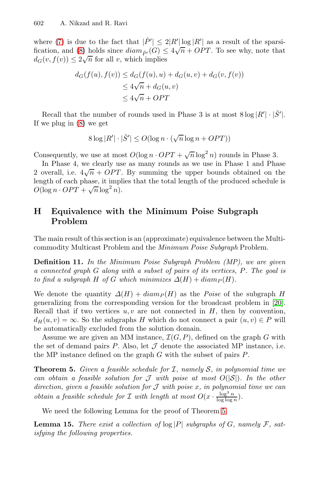<span id="page-34-0"></span>where (7) is due to the fact that  $|\hat{P}'| \leq 2|R'|\log|R'|$  as a result of the sparsification, and (8) holds since  $diam_{\hat{P}'}(G) \leq 4\sqrt{n+OPT}$ . To see why, note that  $d_G(v, f(v)) \leq 2\sqrt{n}$  for all v, which implies

$$
d_G(f(u), f(v)) \le d_G(f(u), u) + d_G(u, v) + d_G(v, f(v))
$$
  
\n
$$
\le 4\sqrt{n} + d_G(u, v)
$$
  
\n
$$
\le 4\sqrt{n} + OPT
$$

Recall that the number of rounds used in Phase 3 is at most  $8 \log |R'| \cdot |\hat{S'}|$ . If we plug in (8) we get

$$
8\log |R'| \cdot |\hat{S}'| \le O(\log n \cdot (\sqrt{n}\log n + OPT))
$$

Consequently, we use at most  $O(\log n \cdot OPT + \sqrt{n} \log^2 n)$  rounds in Phase 3.

In Phase 4, we clearly use as many rounds as we use in Phase 1 and Phase 2 overall, i.e.  $4\sqrt{n} + OPT$ . By summing the upper bounds obtained on the length of each phase, it implies that the total length of the produced schedule is  $O(\log n \cdot OPT + \sqrt{n} \log^2 n).$ 

# **H Equivalence with the Minimum Poise Subgraph Problem**

<span id="page-34-1"></span>The main result of this section is an (approximate) equivale[nce](#page-14-1) between the Multicommodity Multicast Problem and the *Minimum Poise Subgraph* Problem.

**Definition 11.** *In the Minimum Poise Subgraph Problem (MP), we are given a connected graph* G *along with a subset of pairs of its vertices,* P*. The goal is to find a subgraph* H *of* G *which minimizes*  $\Delta(H) + diam_P(H)$ .

<span id="page-34-2"></span>We denote the quantity  $\Delta(H) + diam_P(H)$  as the *Poise* of the subgraph H generalizing from the corresponding version for the broadcast problem in [20]. Recall that if two vertices  $u, v$  are not connected in  $H$ , then by convention,  $d_H(u, v) = \infty$ . So the subgraphs H which do not connect a pair  $(u, v) \in P$  will be automatically excluded from the solution domain.

Assume we are given an MM instance,  $\mathcal{I}(G, P)$ , defined on the graph G with the set of demand pairs  $P$ . Also, let  $\mathcal J$  d[en](#page-34-1)ote the associated MP instance, i.e. the MP instance defined on the graph G with the subset of pairs P.

**Theorem 5.** *Given a feasible schedule for* I*, namely* S*, in polynomial time we can obtain a feasible solution for* J *with poise at most* O(|S|)*. In the other direction, given a feasible solution for* J *with poise* x*, in polynomial time we can obtain a feasible schedule for*  $\mathcal I$  *with length at most*  $O(x \cdot \frac{\log^3 n}{\log \log n})$ *.* 

We need the following Lemma for the proof of Theorem 5.

**Lemma 15.** *There exist a collection of*  $\log |P|$  *subgraphs of* G, *namely* F, *satisfying the following properties.*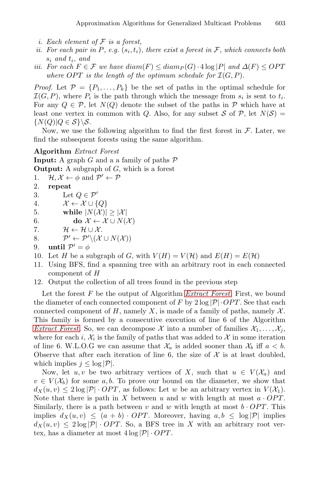- *i. Each element of* F *is a forest,*
- *ii. For each pair in* P, e.g.  $(s_i, t_i)$ , there exist a forest in F, which connects both s<sup>i</sup> *and* ti*, and*
- *iii. For each*  $F \in \mathcal{F}$  *we have* diam( $F$ )  $\leq$  diam<sub> $P$ </sub>( $G$ ) · 4 log |P| *and*  $\Delta(F) \leq OPT$ *where OPT is the length of the optimum schedule for*  $\mathcal{I}(G, P)$ *.*

*Proof.* Let  $\mathcal{P} = \{P_1, \ldots, P_k\}$  be the set of paths in the optimal schedule for  $\mathcal{I}(G, P)$ , where  $P_i$  is the path through which the message from  $s_i$  is sent to  $t_i$ . For any  $Q \in \mathcal{P}$ , let  $N(Q)$  denote the subset of the paths in  $\mathcal P$  which have at least one vertex in common with Q. Also, for any subset S of P, let  $N(S)$  =  ${N(Q)|Q \in \mathcal{S}}\$ S.

Now, we use the following algorithm to find the first forest in  $\mathcal{F}$ . Later, we find the subsequent forests using the same algorithm.

### **Algorithm** *Extract Forest*

**Input:** A graph  $G$  and a a family of paths  $\mathcal{P}$ **Output:** A subgraph of G, which is a forest

- 1.  $\mathcal{H}, \mathcal{X} \leftarrow \phi$  and  $\mathcal{P}' \leftarrow \mathcal{P}$ <br>2. repeat
- 2. **repeat**
- 3. Let  $Q \in \mathcal{P}'$ <br>4.  $\mathcal{X} \leftarrow \mathcal{X} \cup \{$
- 
- 4.  $\mathcal{X} \leftarrow \mathcal{X} \cup \{Q\}$ <br>5. while  $|N(\mathcal{X})|$
- 5. **while**  $|N(\mathcal{X})| \geq |\mathcal{X}|$ <br>6. **do**  $\mathcal{X} \leftarrow \mathcal{X} \cup N$ 6. **do**  $\mathcal{X} \leftarrow \mathcal{X} \cup N(\mathcal{X})$  $\mathcal{X} \leftarrow \mathcal{X} \cup N(\mathcal{X})$  $\mathcal{X} \leftarrow \mathcal{X} \cup N(\mathcal{X})$ <br>7.  $\mathcal{H} \leftarrow \mathcal{H} \cup \mathcal{X}$ .
- 
- 7.  $\mathcal{H} \leftarrow \mathcal{H} \cup \mathcal{X}$ .<br>8.  $\mathcal{P}' \leftarrow \mathcal{P}' \setminus (\mathcal{X})$ 8.  $\mathcal{P}' \leftarrow \mathcal{P}' \setminus (\mathcal{X} \cup N(\mathcal{X}))$
- 9. **until**  $\mathcal{P}' = \phi$
- 10. Let H be a subgraph of G, with  $V(H) = V(\mathcal{H})$  and  $E(H) = E(\mathcal{H})$
- 11. Using BFS, find a spanning tree with an arbitrary root in each connected component of H
- 12. Output the collection of all trees found in the previous step

Let the forest F be the output of Algorithm *Extract Forest*. First, we bound the diameter of each connected component of F by  $2 \log |\mathcal{P}| \cdot OPT$ . See that each connected component of H, namely X, is made of a family of paths, namely  $\mathcal{X}$ . This family is formed by a consecutive execution of line 6 of the Algorithm *Extract Forest.* So, we can decompose X into a number of families  $X_1, \ldots, X_i$ where for each i,  $\mathcal{X}_i$  is the family of paths that was added to X in some iteration of line 6. W.L.O.G we can assume that  $\mathcal{X}_a$  is added sooner than  $\mathcal{X}_b$  iff  $a < b$ . Observe that after each iteration of line 6, the size of  $\mathcal X$  is at least doubled, which implies  $j \leq \log |\mathcal{P}|$ .

Now, let  $u, v$  be two arbitrary vertices of X, such that  $u \in V(\mathcal{X}_a)$  and  $v \in V(\mathcal{X}_b)$  for some a, b. To prove our bound on the diameter, we show that  $d_X(u, v) \leq 2 \log |\mathcal{P}| \cdot OPT$ , as follows: Let w be an arbitrary vertex in  $V(\mathcal{X}_1)$ . Note that there is path in X between u and w with length at most  $a \cdot OPT$ . Similarly, there is a path between v and w with length at most  $b \cdot OPT$ . This implies  $d_X(u, v) \leq (a + b) \cdot OPT$ . Moreover, having  $a, b \leq \log |\mathcal{P}|$  implies  $d_X(u, v) \leq 2 \log |\mathcal{P}| \cdot OPT$ . So, a BFS tree in X with an arbitrary root vertex, has a diameter at most  $4 \log |\mathcal{P}| \cdot OPT$ .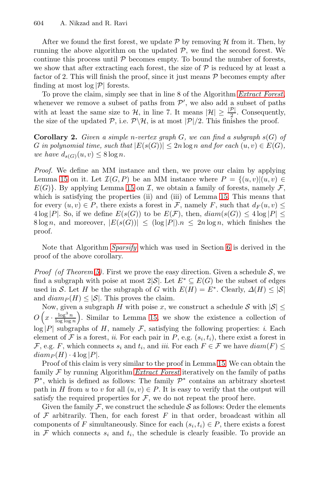After we found the first forest, we update  $P$  by removing  $H$  from it. Then, by running the above algorithm on the updated  $P$ , we find the second forest. We continue this process until  $P$  becomes empty. To bound the number of forests, we show that after extracting each forest, the size of  $\mathcal P$  is reduced by at least a factor of 2. This will finish the proof, since it just means  $P$  becomes empty after finding at most  $log |\mathcal{P}|$  forests.

To prove the claim, simply see that in line 8 of the Algorithm *Extract Forest*, whenever we remove a subset of paths from  $\mathcal{P}'$ , we also add a subset of paths with at least the same size to  $\mathcal{H}$ , in line 7. It means  $|\mathcal{H}| \geq \frac{|\mathcal{P}|}{2}$ . Consequently, [the](#page-34-2) size of the updated  $P$ , i.e.  $P \backslash H$ , is at most  $|P|/2$ . This finishes the proof.

**Corollary 2.** *Given a simple* n*-vertex graph* G*, we can find a subgraph* s(G) *of* G in polynomial time, such that  $|E(s(G))| \leq 2n \log n$  and for each  $(u, v) \in E(G)$ , *we have*  $d_{s(G)}(u, v) \leq 8 \log n$ .

*Proof.* We define an MM instance and then, we prove our claim by applying Lemm[a 15 on](#page-8-1) it. Let  $\mathcal{I}(G, P)$  be an MM [in](#page-7-3)stance where  $P = \{(u, v) | (u, v) \in$  $E(G)$ . By applying Lemma 15 on  $\mathcal I$ , we obtain a family of forests, namely  $\mathcal F$ , which is satisfying the properties (ii) and (iii) of Lemma 15. This means that f[or](#page-34-1) every  $(u, v) \in P$ , there exists a forest in F, namely F, such that  $d_F(u, v) \leq$  $4\log |P|$ . So, if we define  $E(s(G))$  to be  $E(\mathcal{F})$ , then,  $diam(s(G)) \leq 4\log |P| \leq$  $8 \log n$ , and moreover,  $|E(s(G))| \leq (\log |P|) \leq 2n \log n$ , which finishes the proof.

Note that Algo[rith](#page-34-2)m *Sparsify* which was used in Section 6 is derived in the proof of the above corollary.

*Proof (of Theorem 5).* First we prove the easy direction. Given a schedule  $S$ , we find a subgraph with poise at most 2|S|. Let  $E^* \subseteq E(G)$  be the subset of edges used in S. Let H be the subgraph of G with  $E(H) = E^*$ . Clearly,  $\Delta(H) \leq |\mathcal{S}|$ and  $diam_P (H) \leq |\mathcal{S}|$ . This proves the c[laim](#page-34-2).

Now, given [a subgraph](#page-34-2) H with poise x, we construct a schedule S with  $|S| \leq$  $O\left(x \cdot \frac{\log^3 n}{\log \log n}\right)$ . Similar to Lemma 15, we show the existence a collection of  $log |P|$  subgraphs of H, namely F, satisfying the following properties: *i*. Each element of  $\mathcal F$  is a forest, *ii*. For each pair in  $P$ , e.g.  $(s_i, t_i)$ , there exist a forest in F, e.g. F, which connects  $s_i$  and  $t_i$ , and *iii*. For each  $F \in \mathcal{F}$  we have  $diam(F) \leq$  $diam_P (H) \cdot 4 log |P|.$ 

Proof of this claim is very similar to the proof in Lemma 15. We can obtain the family F by running Algorithm *Extract Forest* iteratively on the family of paths  $\mathcal{P}^*$ , which is defined as follows: The family  $\mathcal{P}^*$  contains an arbitrary shortest path in H from u to v for all  $(u, v) \in P$ . It is easy to verify that the output will satisfy the required properties for  $F$ , we do not repeat the proof here.

Given the family  $\mathcal F$ , we construct the schedule  $\mathcal S$  as follows: Order the elements of  $F$  arbitrarily. Then, for each forest  $F$  in that order, broadcast within all components of F simultaneously. Since for each  $(s_i, t_i) \in P$ , there exists a forest in  $\mathcal F$  which connects  $s_i$  and  $t_i$ , the schedule is clearly feasible. To provide an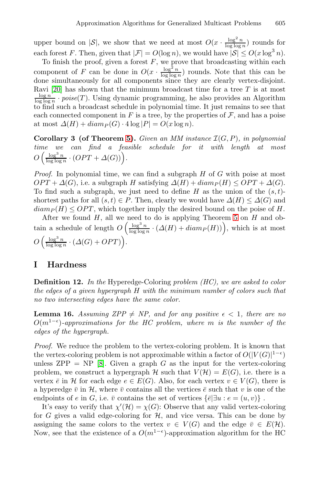upper bound on  $|S|$ , we show that we need at most  $O(x \cdot \frac{\log^2 n}{\log \log n})$  rounds for each forest F. Then, given that  $|\mathcal{F}| = O(\log n)$ , we would have  $|\mathcal{S}| \leq O(x \log^3 n)$ .

To finish the proof, given a forest  $F$ , we prove that broadcasting within each component [o](#page-34-1)f F can be done in  $O(x \cdot \frac{\log^2 n}{\log \log n})$  rounds. Note that this can be done simultaneously for all components since they are clearly vertex-disjoint. Ravi [20] has shown that the minimum broadcast time for a tree  $T$  is at most  $\frac{\log n}{\log \log n}$ , *poise(T)*. Using dynamic programming, he also provides an Algorithm  $\frac{\log n}{\log \log n}$  · *poise*(*T*). Using dynamic programming, he also provides an Algorithm to find such a broadcast schedule in polynomial time. It just remains to see that each connected component in F is a tree, by the properties of  $\mathcal F$ , and has a poise at most  $\Delta(H) + diam_P(G) \cdot 4 \log |P| = O(x \log n)$ .

<span id="page-37-0"></span>**Corollary 3 (of Theorem 5).** *Given an MM instance* I(G, P)*, in polynomial time we can find a feasible schedule for it with length at most*  $O\left(\frac{\log^3 n}{\log\log n} \cdot (OPT + \Delta(G))\right)$ .

<span id="page-37-1"></span>*Proof.* In polynomial time, we can find a subgraph H of G with poise at most  $OPT + \Delta(G)$ , i.e. a subgraph H satisfying  $\Delta(H) + diam_P(H) \leq OPT + \Delta(G)$ . To find such a subgraph, we just need to define  $H$  as the union of the  $(s, t)$ shortest paths for all  $(s, t) \in P$ . Then, clearly we would have  $\Delta(H) \leq \Delta(G)$  and  $diam_P(H) \leq OPT$ , which together imply the desired bound on the poise of H.

After we found  $H$ , all we need to do is applying Theorem 5 on  $H$  and obtain a schedule of length  $O\left(\frac{\log^3 n}{\log \log n} \cdot (\Delta(H) + diam_P(H))\right)$ , which is at most  $O\left(\frac{\log^3 n}{\log\log n} \cdot (\Delta(G) + OPT)\right).$ 

# **I Hardness**

**Definition 12.** *In the* Hyperedge-Coloring *problem (HC), we are asked to color the edges of a given hypergraph* H *with the minimum number of colors such that n[o](#page-13-5) [tw](#page-13-5)o intersecting edges have the same color.*

**Lemma 16.** *Assuming ZPP*  $\neq$  *NP*, and for any positive  $\epsilon$  < 1, there are no O(m<sup>1</sup>−-)*-approximations for the HC problem, where* m *is the number of the edges of the hypergraph.*

*Proof.* We reduce the problem to the vertex-coloring problem. It is known that the vertex-coloring problem is not approximable within a factor of  $O(|V(G)|^{1-\epsilon})$ unless ZPP = NP [8]. Given a graph G as the input for the vertex-coloring problem, we construct a hypergraph H such that  $V(\mathcal{H}) = E(G)$ , i.e. there is a vertex  $\bar{e}$  in H for each edge  $e \in E(G)$ . Also, for each vertex  $v \in V(G)$ , there is a hyperedge  $\bar{v}$  in H, where  $\bar{v}$  contains all the vertices  $\bar{e}$  such that v is one of the endpoints of e in G, i.e.  $\bar{v}$  contains the set of vertices  $\{\bar{e} | \exists u : e = (u, v)\}\.$ 

It's easy to verify that  $\chi'(\mathcal{H}) = \chi(G)$ : Observe that any valid vertex-coloring for G gives a valid edge-coloring for  $H$ , and vice versa. This can be done by assigning the same colors to the vertex  $v \in V(G)$  and the edge  $\overline{v} \in E(H)$ . Now, see that the existence of a  $O(m^{1-\epsilon})$ -approximation algorithm for the HC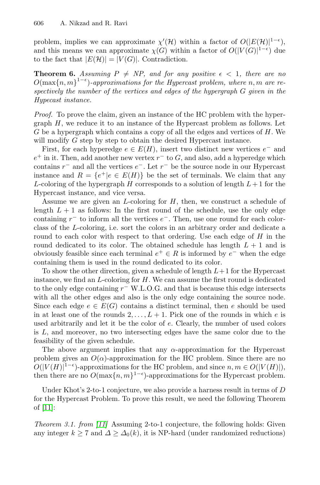<span id="page-38-0"></span>problem, implies we can approximate  $\chi'(\mathcal{H})$  within a factor of  $O(|E(\mathcal{H})|^{1-\epsilon})$ , and this means we can approximate  $\chi(G)$  within a factor of  $O(|V(G)|^{1-\epsilon})$  due to the fact that  $|E(\mathcal{H})| = |V(G)|$ . Contradiction.

**Theorem 6.** Assuming  $P \neq NP$ , and for any positive  $\epsilon < 1$ , there are no  $O(\max\{n,m\}^{1-\epsilon})$ -approximations for the Hypercast problem, where n, m are re*spectively the number of the vertices and edges of the hypergraph* G *given in the Hypecast instance.*

*Proof.* To prove the claim, given an instance of the HC problem with the hypergraph H, we reduce it to an instance of the Hypercast problem as follows. Let G be a hypergraph which contains a copy of all the edges and vertices of H. We will modify G step by step to obtain the desired Hypercast instance.

First, for each hyperedge  $e \in E(H)$ , insert two distinct new vertices  $e^-$  and  $e^+$  in it. Then, add another new vertex  $r^-$  to G, and also, add a hyperedge which contains  $r^-$  and all the vertices  $e^-$ . Let  $r^-$  be the source node in our Hypercast instance and  $R = \{e^+ | e \in E(H)\}\$ be the set of terminals. We claim that any L-coloring of the hypergraph H corresponds to a solution of length  $L+1$  for the Hypercast instance, and vice versa.

Assume we are given an  $L$ -coloring for  $H$ , then, we construct a schedule of length  $L + 1$  as follows: In the first round of the schedule, use the only edge containing  $r^-$  to inform all the vertices  $e^-$ . Then, use one round for each colorclass of the L-coloring, i.e. sort the colors in an arbitrary order and dedicate a round to each color with respect to that ordering. Use each edge of  $H$  in the round dedicated to its color. The obtained schedule has length  $L + 1$  and is obviously feasible since each terminal  $e^+ \in R$  is informed by  $e^-$  when the edge containing them is used in the round dedicated to its color.

To show the other direction, given a schedule of length  $L+1$  for the Hypercast instance, we find an  $L$ -coloring for  $H$ . We can assume the first round is dedicated to the only edge containing  $r^-\text{W.L.O.G.}$  and that is because this edge intersects with all the other edges and also is the only edge containing the source node. Since each edge  $e \in E(G)$  contains a distinct terminal, then e should be used in at least one of the rounds  $2, \ldots, L + 1$ . Pick one of the rounds in which e is used arbitrarily and let it be the color of e. Clearly, the number of used colors is L, and moreover, no two intersecting edges have the same color due to the feasibility of the given schedule.

The above argument implies that any  $\alpha$ -approximation for the Hypercast p[robl](#page-14-9)em gives an  $O(\alpha)$ -approximation for the HC problem. Since there are no  $O(|V(H)|^{1-\epsilon})$ -approximations for the HC problem, and since  $n, m \in O(|V(H)|)$ , then there are no  $O(\max\{n, m\}^{1-\epsilon})$ -approximations for the Hypercast problem.

Under Khot's 2-to-1 conjecture, we also provide a harness result in terms of D for the Hypercast Problem. To prove this result, we need the following Theorem of [11]:

*Theorem 3.1. from [11]* Assuming 2-to-1 conjecture, the following holds: Given any integer  $k \ge 7$  and  $\Delta \ge \Delta_0(k)$ , it is NP-hard (under randomized reductions)